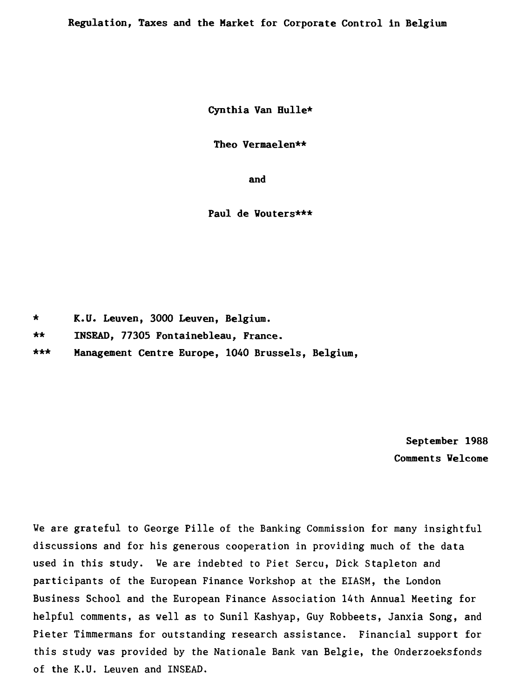**Regulation, Taxes and the Market for Corporate Control in Belgium** 

**Cynthia Van Bulle\*** 

**Theo Vermaelen\*\*** 

**and** 

**Paul de Wouters\*\*\*** 

\* **K.U. Leuven, 3000 Leuven, Belgium.** 

\* \* **INSEAD, 77305 Fontainebleau, France.** 

\*\*\* Management Centre Europe, 1040 Brussels, Belgium,

**September 1988 Comments Welcome** 

We are grateful to George Pille of the Banking Commission for many insightful discussions and for his generous cooperation in providing much of the data used in this study. We are indebted to Piet Sercu, Dick Stapleton and participants of the European Finance Workshop at the EIASM, the London Business School and the European Finance Association 14th Annual Meeting for helpful comments, as well as to Sunil Kashyap, Guy Robbeets, Janxia Song, and Pieter Timmermans for outstanding research assistance. Financial support for this study was provided by the Nationale Bank van Belgie, the Onderzoeksfonds of the K.U. Leuven and INSEAD.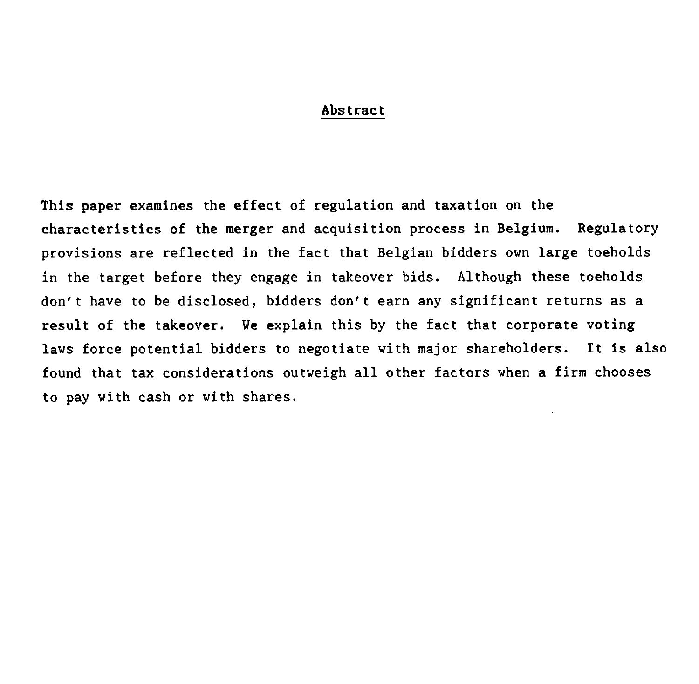#### **Abstract**

**This paper examines the effect of regulation and taxation on the characteristics of the merger and acquisition process in Belgium. Regulatory provisions are reflected in the fact that Belgian bidders own large toeholds in the target before they engage in takeover bids. Although these toeholds don't have to be disclosed, bidders don't earn any significant returns as a result of the takeover. We explain this by the fact that corporate voting laws force potential bidders to negotiate with major shareholders. It is also found that tax considerations outweigh all other factors when a firm chooses to pay with cash or with shares.**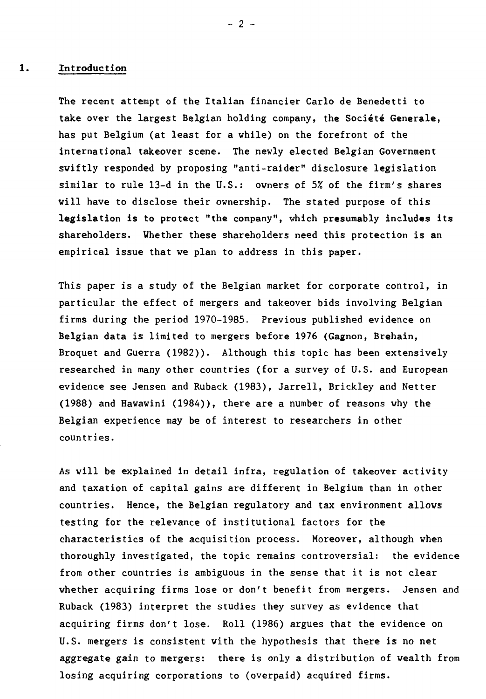#### 1. **Introduction**

The recent attempt of the Italian financier Carlo de Benedetti to take over the largest Belgian holding company, the Société Generale, has put Belgium (at least for a while) on the forefront of the international takeover scene. The newly elected Belgian Government swiftly responded by proposing "anti-raider" disclosure legislation similar to rule 13-d in the U.S.: owners of 5% of the firm's shares will have to disclose their ownership. The stated purpose of this legislation is to protect **"the company", which presumably includes** its shareholders. Whether these shareholders need this protection is an empirical issue that we plan to address in this paper.

This paper is a study of the Belgian market for corporate control, in particular the effect of mergers and takeover bids involving Belgian firms during the period 1970-1985. Previous published evidence on Belgian data is limited to mergers before 1976 (Gagnon, Brehain, Broquet and Guerra (1982)). Although this topic has been extensively researched in many other countries (for a survey of U.S. and European evidence see Jensen and Ruback (1983), Jarrell, Brickley and Netter (1988) and Hawawini (1984)), there are a number of reasons why the Belgian experience may be of interest to researchers in other countries.

As will be explained in detail infra, regulation of takeover activity and taxation of capital gains are different in Belgium than in other countries. Hence, the Belgian regulatory and tax environment allows testing for the relevance of institutional factors for the characteristics of the acquisition process. Moreover, although when thoroughly investigated, the topic remains controversial: the evidence from other countries is ambiguous in the sense that it is not clear whether acquiring firms lose or don't benefit from mergers. Jensen and Ruback (1983) interpret the studies they survey as evidence that acquiring firms don't lose. Roll (1986) argues that the evidence on U.S. mergers is consistent with the hypothesis that there is no net aggregate gain to mergers: there is only a distribution of wealth from losing acquiring corporations to (overpaid) acquired firms.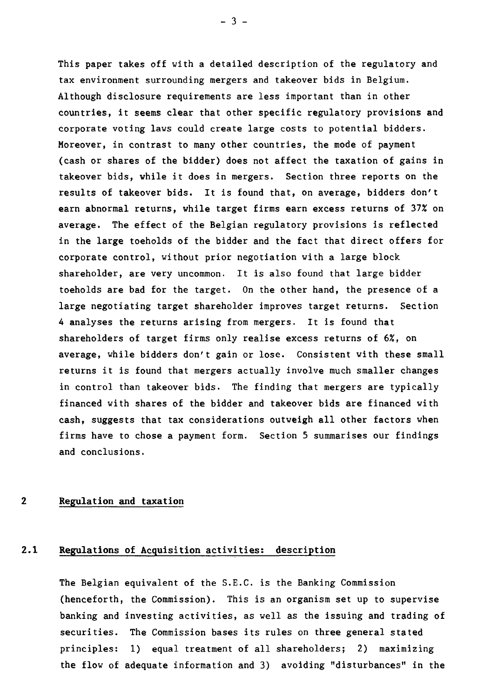This paper takes off with a detailed description of the regulatory and tax environnent surrounding mergers and takeover bids in Belgium. Although disclosure requirements are less important than in other countries, it seems clear that other specific regulatory provisions and corporate voting laws could create large costs to potential bidders. Moreover, in contrast to many other countries, the mode of payment (cash or shares of the bidder) does not affect the taxation of gains in takeover bids, while it does in mergers. Section three reports on the resuits of takeover bids. It is found that, on average, bidders don't earn abnormal returns, while target firms earn excess returns of 37% on average. The effect of the Belgian regulatory provisions is reflected in the large toeholds of the bidder and the fact that direct offers for corporate control, without prior negotiation with a large block shareholder, are very uncommon. It is also found that large bidder toeholds are bad for the target. On the other hand, the presence of a large negotiating target shareholder improves target returns. Section 4 analyses the returns arising from mergers. It is found that shareholders of target firms only realise excess returns of 6%, on average, while bidders don't gain or Jose. Consistent with these small returns it is found that mergers actually involve much smaller changes in control than takeover bids. The finding that mergers are typically financed with shares of the bidder and takeover bids are financed with cash, suggests that tax considerations outweigh all other factors when firms have to chose a payment form. Section 5 summarises our findings and conclusions.

# **2 Regulation and taxation**

# **2.1 Regulations of Acquisition activities: description**

The Belgian equivalent of the S.E.C. is the Banking Commission (henceforth, the Commission). This is an organism set up to supervise banking and investing activities, as well as the issuing and trading of securities. The Commission bases its rules on three general stated principles: 1) equal treatment of all shareholders; 2) maximizing the flow of adequate information and 3) avoiding "disturbances" in the

 $-3 -$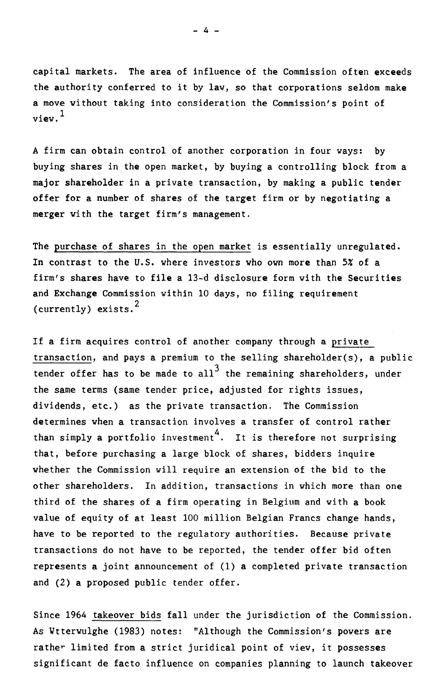capital markets. The area of influence of the Commission often exceeds the authority conferred to it by law, so that corporations seldom make a move without taking into consideration the Commission's point of view.1

A firm can obtain control of another corporation in four ways: by buying shares in the open market, by buying a controlling block from a major shareholder in a private transaction, by making a public tender offer for a number of shares of the target firm or by negotiating a merger with the target firm's management.

The purchase of shares in the open market is essentially unregulated. In contrast to the U.S. where investors who own more than 5% of a firm's shares have to file a 13-d disclosure form with the Securities and Exchange Commission within 10 days, no filing requirement (currently) exists.<sup>2</sup>

If a firm acquires control of another company through a private transaction, and pays a premium to the selling shareholder(s), a public tender offer has to be made to all<sup>3</sup> the remaining shareholders, under the same terms (same tender price, adjusted for rights issues, dividende, etc.) as the private transaction. The Commission determines when a transaction involves a transfer of control rather than simply a portfolio investment<sup>4</sup>. It is therefore not surprising that, before purchasing a large block of shares, bidders inquire whether the Commission will require an extension of the bid to the other shareholders. In addition, transactions in which more than one third of the shares of a firm operating in Belgium and with a book value of equity of at least 100 million Belgian Francs change hands, have to be reported to the regulatory authorities. Because private transactions do not have to be reported, the tender offer bid often represents a joint announcement of (1) a completed private transaction and (2) a proposed public tender offer.

Since 1964 takeover bids fall under the jurisdiction of the Commission. As Wtterwulghe (1983) notes: "Although the Commission's powers are rather limited from a strict juridical point of view, it possesses significant de facto influence on companies planning to launch takeover

- 4 -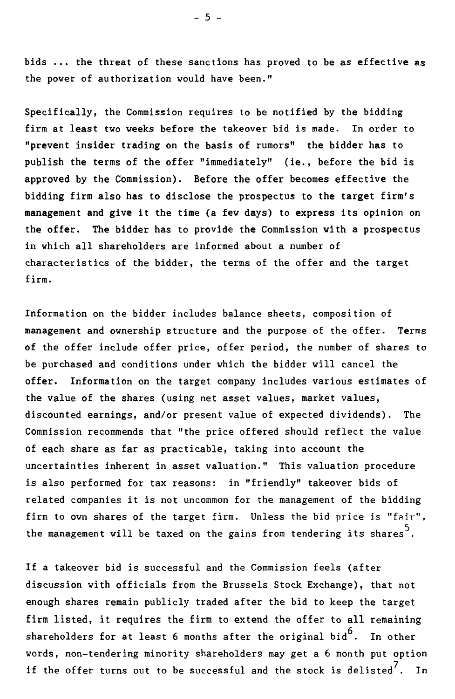bids ... the threat of these sanctions has proved to be as effective as the power of authorization would have been."

Specifically, the Commission requires to be notified by the bidding firm at least two weeks before the takeover bid is made. In order to "prevent insider trading on the basis of rumors" the bidder has to publish the terms of the offer "immediately" (ie., before the bid is approved by the Commission). Before the offer becomes effective the bidding firm also has to disclose the prospectus to the target firm's management and give it the time (a few days) to express its opinion on the offer. The bidder has to provide the Commission with a prospectus in which all shareholders are informed about a number of characteristics of the bidder, the terms of the offer and the target firm.

Information on the bidder includes balance sheets, composition of management and ownership structure and the purpose of the offer. Terms of the offer include offer price, offer period, the number of shares to be purchased and conditions under which the bidder will cancel the offer. Information on the target company includes various estimates of the value of the shares (using net asset values, market values, discounted earnings, and/or present value of expected dividends). The Commission recommends that "the price offered should reflect the value of each share as far as practicable, taking into account the uncertainties inherent in asset valuation." This valuation procedure is also performed for tax reasons: in "friendly" takeover bids of related companies it is not uncommon for the management of the bidding firm to own shares of the target firm. Unless the bid price is "fair", the management will be taxed on the gains from tendering its shares  $^5$ .

If a takeover bid is successful and the Commission feels (after discussion with officials from the Brussels Stock Exchange), that not enough shares remain publicly traded after the bid to keep the target firm listed, it requires the firm to extend the offer to all remaining shareholders for at least 6 months after the original bid $^6$ . . In other words, non-tendering minority shareholders may get a 6 month put option if the offer turns out to be successful and the stock is delisted $^7. \;$  In  $\;$ 

 $-5 -$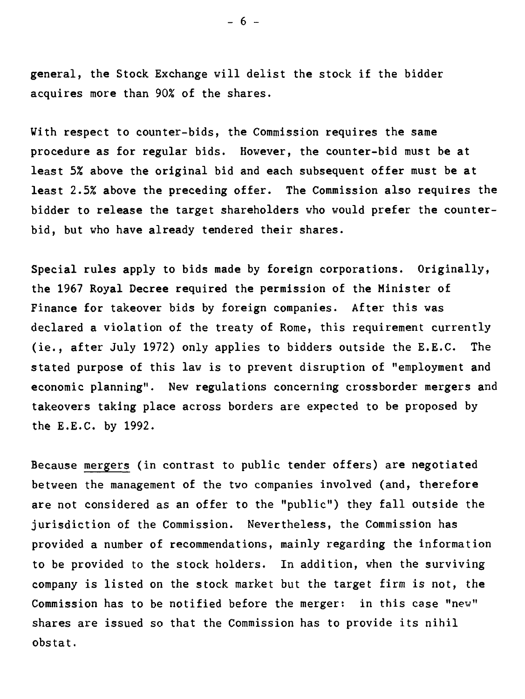general, the Stock Exchange will delist the stock if the bidder acquires more than 90% of the shares.

With respect to counter-bids, the Commission requires the same procedure as for regular bids. However, the counter-bid must be at least 5% above the original bid and each subsequent offer must be at least 2.5% above the preceding offer. The Commission also requires the bidder to release the target shareholders who would prefer the counterbid, but who have already tendered their shares.

Special rules apply to bids made by foreign corporations. Originally, the 1967 Royal Decree required the permission of the Minister of Finance for takeover bids by foreign companies. After this was declared a violation of the treaty of Rome, this requirement currently (ie., after July 1972) only applies to bidders outside the E.E.C. The stated purpose of this law is to prevent disruption of "employment and economic planning". New regulations concerning crossborder mergers and takeovers taking place across borders are expected to be proposed by the E.E.C. by 1992.

Because mergers (in contrast to public tender offers) are negotiated between the management of the two companies involved (and, therefore are not considered as an offer to the "public") they fall outside the jurisdiction of the Commission. Nevertheless, the Commission has provided a number of recommendations, mainly regarding the information to be provided to the stock holders. In addition, when the surviving company is listed on the stock market but the target firm is not, the Commission has to be notified before the merger: in this case "new" shares are issued so that the Commission has to provide its nihil obstat.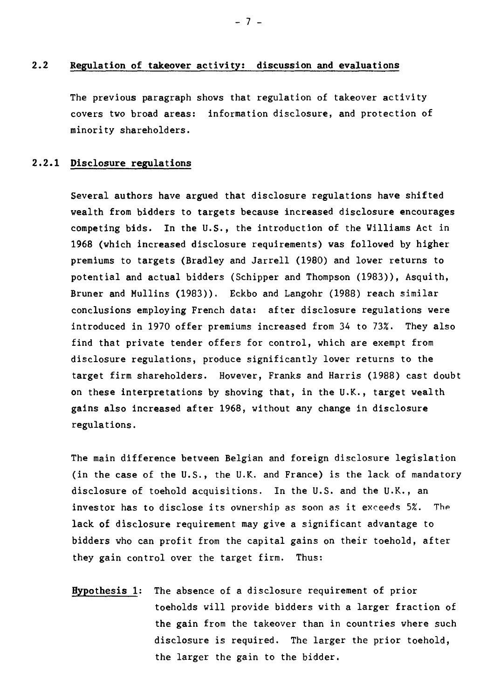# **2.2 Regulation of takeover activity: discussion and evaluations**

The previous paragraph shows that regulation of takeover activity covers two broad areas: information disclosure, and protection of minority shareholders.

# **2.2.1 Disclosure regulations**

**Several authors have argued that disclosure regulations have shifted wealth from bidders to targets because increased disclosure encourages competing bids. In the U.S., the introduction of the Williams Act in 1968 (which increased disclosure requirements) was followed by higher premiums to targets (Bradley** and Jarrell (1980) and lover returns to potential and actual bidders (Schipper and Thompson (1983)), Asquith, Bruner and Mullins (1983)). Eckbo and Langohr (1988) reach similar conclusions employing French data: after disclosure regulations were introduced in 1970 offer premiums increased from 34 to 73%. They also find that private tender offers for control, which are exempt from disclosure regulations, produce significantly lover returns to the target firm shareholders. However, Franks and Harris (1988) cast doubt on these interpretations by showing that, in the U.K., target wealth gains also increased after 1968, without any change in disclosure regulations.

The main difference between Belgian and foreign disclosure legislation (in the case of the U.S., the U.K. and France) is the lack of mandatory disclosure of toehold acquisitions. In the U.S. and the U.K., an investor has to disclose its ownership as soon as it exceeds 5%. The **lack of** disclosure requirement may give a significant advantage to bidders who can profit from the capital gains on their toehold, after they gain control over the target firm. Thus:

**Hypothesis 1:** The absence of a disclosure requirement of prior toeholds will provide bidders with a larger fraction of the gain from the takeover than in countries where such disclosure is required. The larger the prior toehold, the larger the gain to the bidder.

- 7 **-**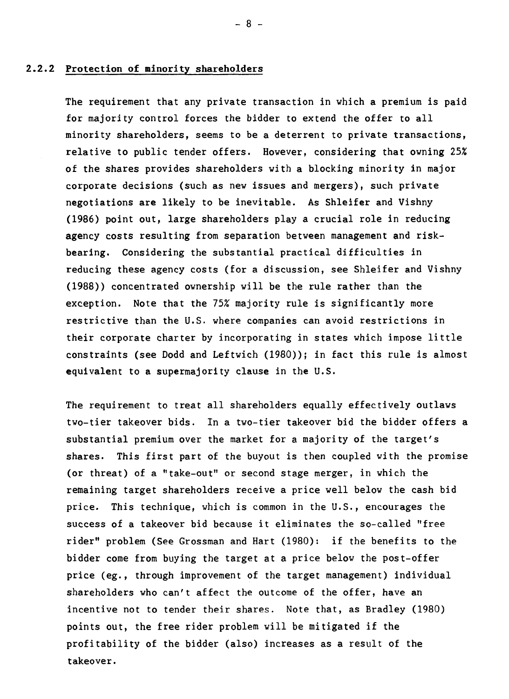#### **2.2.2 Protection of minority shareholders**

The requirement that any private transaction in which a premium is paid for majority control forces the bidder to extend the offer to all minority shareholders, seems to be a deterrent to private transactions, relative to public tender offers. However, considering that owning 25% of the shares provides shareholders with a blocking minority in major corporate decisions (such as new issues and mergers), such private negotiations are likely to be inevitable. As Shleifer and Vishny (1986) point out, large shareholders play a crucial role in reducing agency costs resulting from separation between management and riskbearing. Considering the substantial practical difficulties in reducing these agency costs (for a discussion, see Shleifer and Vishny (1988)) concentrated ownership will be the rule rather than the exception. Note that the 75% majority rule is significantly more restrictive than the U.S. where companies can avoid restrictions in their corporate charter by incorporating in states which impose little constraints (see Dodd and Leftwich (1980)); in fact this rule is almost equivalent to a supermajority clause in the U.S.

The requirement to treat ail shareholders equally effectively outlaws two-tier takeover bids. In a two-tier takeover bid the bidder offers a substantial premium over the market for a majority of the target's shares. This first part of the buyout is then coupled with the promise (or threat) of a "take-out" or second stage merger, in which the remaining target shareholders receive a price well below the cash bid price. This technique, which is common in the U.S., encourages the success of a takeover bid because it eliminates the so-called "free rider" problem (See Grossman and Hart (1980): if the benefits to the bidder come from buying the target at a price below the post-offer price (eg., through improvement of the target management) individual shareholders who can't affect the outcome of the offer, have an incentive not to tender their shares. Note that, as Bradley (1980) points out, the free rider problem will be mitigated if the profitability of the bidder (also) increases as a result of the takeover.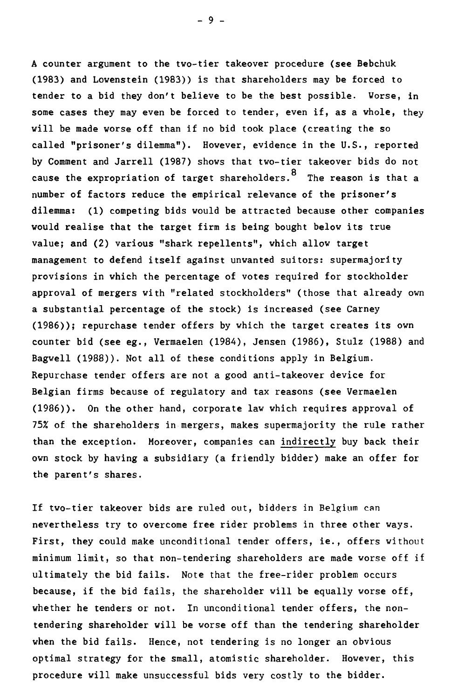A counter argument to the two-tier takeover procedure (see Bebchuk (1983) and Lowenstein (1983)) is that shareholders may be forced to tender to a bid they don't believe to be the best possible. Worse, in some cases they may even be forced to tender, even if, as a whole, they will be made worse off than if no bid took place (creating the so called "prisoner's dilemma"). However, evidence in the U.S., reported by Comment and Jarrell (1987) shows that two-tier takeover bids do not cause the expropriation of target shareholders. <sup>8</sup> The reason is that a number of factors reduce the empirical relevance of the prisoner's dilemma: (1) competing bids would be attracted because other companies would realise that the target firm is being bought below its true value; and (2) various "shark repellents", which allow target management to defend itself against unwanted suitors: supermajority provisions in which the percentage of votes required for stockholder approval of mergers with "related stockholders" (those that already own a substantial percentage of the stock) is increased (see Carney (1986)); repurchase tender offers by which the target creates its own counter bid (see eg., Vermaelen (1984), Jensen (1986), Stulz (1988) and Bagwell (1988)). Not ail of these conditions apply in Belgium. Repurchase tender offers are not a good anti-takeover device for Belgian firms because of regulatory and tax reasons (see Vermaelen (1986)). On the other hand, corporate law which requires approval of 75% of the shareholders in mergers, makes supermajority the rule rather than the exception. Moreover, companies can indirectly buy back their own stock by having a subsidiary (a friendly bidder) make an offer for the parent's shares.

If two-tier takeover bids are ruled out, bidders in Belgium can nevertheless try to overcome free rider problems in three other ways. First, they could make unconditional tender offers, ie., offers without minimum limit, so that non-tendering shareholders are made worse off if ultimately the bid fails. Note that the free-rider problem occurs because, if the bid fails, the shareholder will be equally worse off, whether he tenders or not. In unconditional tender offers, the nontendering shareholder will be worse off than the tendering shareholder when the bid fails. Hence, not tendering is no longer an obvious optimal strategy for the small, atomistic shareholder. However, this procedure will make unsuccessful bids very costly to the bidder.

 $-9 -$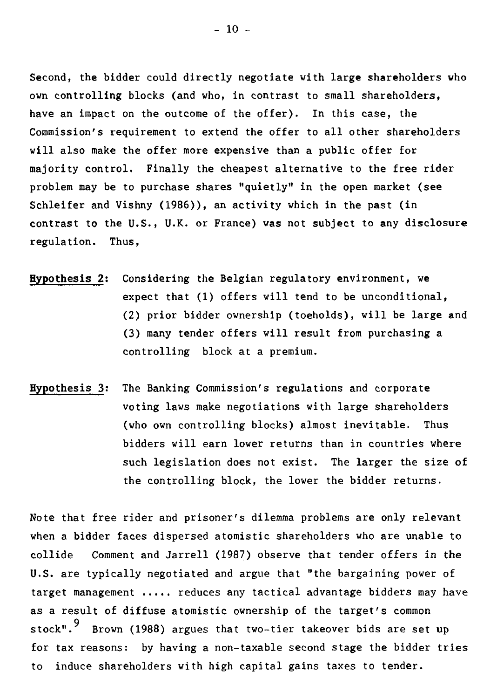Second, the bidder could directly negotiate with large shareholders who own controlling blocks (and who, in contrast to small shareholders, have an impact on the outcome of the offer). In this case, the Commission's requirement to extend the offer to ail other shareholders will also make the offer more expensive than a public offer for majority control. Finally the cheapest alternative to the free rider problem may be to purchase shares "quietly" in the open market (see Schleifer and Vishny (1986)), an activity which in the past (in contrast to the U.S., U.K. or France) was not subject to any disclosure regulation. Thus,

- Hypothesis 2: Considering the Belgian regulatory environnent, we expect that (1) offers will tend to be unconditional, (2) prior bidder ownership (toeholds), will be large and (3) many tender offers will result from purchasing a controlling block at a premium.
- Hypothesis 3: The Banking Commission's regulations and corporate voting laws make negotiations with large shareholders (who own controlling blocks) almost inevitable. Thus bidders will earn lover returns than in countries where such legislation does not exist. The larger the size of the controlling block, the lover the bidder returns.

Note that free rider and prisoner's dilemma problems are only relevant when a bidder faces dispersed atomistic shareholders who are unable to collide Comment and Jarrell (1987) observe that tender offers in the U.S. are typically negotiated and argue that "the bargaining power of target management  $\ldots$  reduces any tactical advantage bidders may have as a result of diffuse atomistic ownership of the target's common stock".<sup>9</sup> Brown (1988) argues that two-tier takeover bids are set up for tax reasons: by having a non-taxable second stage the bidder tries to induce shareholders with high capital gains taxes to tender.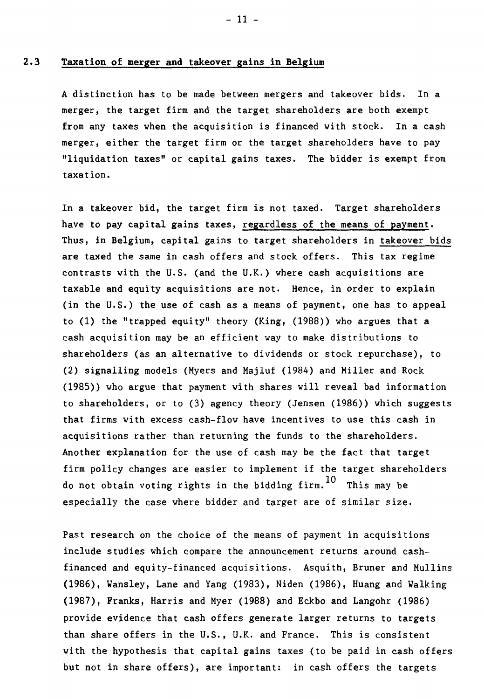# **2.3 Taxation of merger and takeover gains in Belgium**

A distinction has to be made between mergers and takeover bids. In a merger, the target firm and the target shareholders are both exempt from any taxes when the acquisition is financed with stock. In a cash merger, either the target firm or the target shareholders have to pay "liquidation taxes" or capital gains taxes. The bidder is exempt from taxation.

In a takeover bid, the target firm is not taxed. Target shareholders have to pay capital gains taxes, regardless of the means of payment. Thus, in Belgium, capital gains to target shareholders in takeover bids are taxed the same in cash offers and stock offers. This tax regime contrasts with the U.S. (and the U.K.) where cash acquisitions are taxable and equity acquisitions are not. Hence, in order to explain (in the U.S.) the use of cash as a means of payment, one has to appeal to (1) the "trapped equity" theory (King, (1988)) who argues that a cash acquisition may be an efficient way to make distributions to shareholders (as an alternative to dividends or stock repurchase), to (2) signalling models (Myers and Majluf (1984) and Miller and Rock (1985)) who argue that payment with shares will reveal bad information to shareholders, or to (3) agency theory (Jensen (1986)) which suggests that firms with excess cash-flow have incentives to use this cash in acquisitions rather than returning the funds to the shareholders. Another explanation for the use of cash may be the fact that target firm policy changes are easier to implement if the target shareholders do not obtain voting rights in the bidding firm.  $10$  This may be especially the case where bidder and target are of similar size.

Past research on the choice of the means of payment in acquisitions include studies which compare the announcement returns around cashfinanced and equity-financed acquisitions. Asquith, Bruner and Mullins (1986), Wansley, Lane and Yang (1983), Niden (1986), Huang and Walking (1987), Franks, Harris and Myer (1988) and Eckbo and Langohr (1986) provide evidence that cash offers generate larger returns to targets than share offers in the U.S., U.K. and France. This is consistent with the hypothesis that capital gains taxes (to be paid in cash offers but not in share offers), are important: in cash offers the targets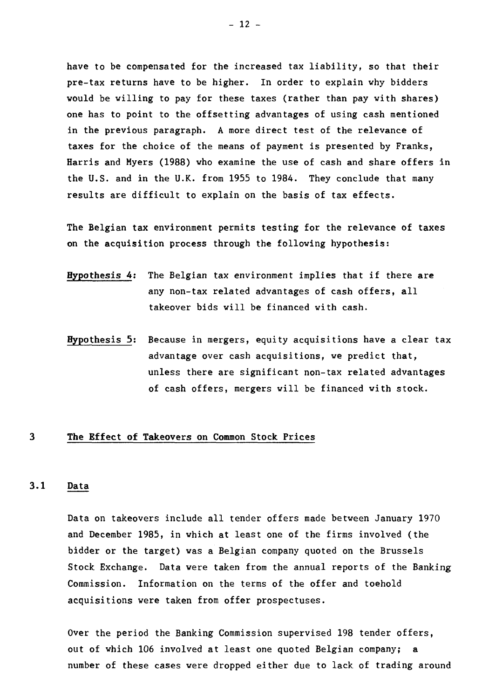have to be compensated for the increased tax liability, so that their pre-tax returns have to be higher. In order to explain why bidders would be willing to pay for these taxes (rather than pay with shares) one has to point to the offsetting advantages of using cash mentioned in the previous paragraph. A more direct test of the relevance of taxes for the choice of the means of payment is presented by Franks, Harris and Myers (1988) who examine the use of cash and share offers in the U.S. and in the U.K. from 1955 to 1984. They conclude that many results are difficult to explain on the basis of tax effects.

The Belgian tax environment permits testing for the relevance of taxes on the acquisition process through the following hypothesis:

- Hypothesis 4: The Belgian tax environment implies that if there are any non-tax related advantages of cash offers, all takeover bids will be financed with cash.
- Hypothesis 5: Because in mergers, equity acquisitions have a clear tax advantage over cash acquisitions, we predict that, unless there are significant non-tax related advantages of cash offers, mergers will be financed with stock.

## **3 The Effect of Takeovers on Common Stock Prices**

# **3.1 Data**

Data on takeovers include ail tender offers made between January 1970 and December 1985, in which at least one of the firms involved (the bidder or the target) was a Belgian company quoted on the Brussels Stock Exchange. Data were taken from the annual reports of the Banking Commission. Information on the terms of the offer and toehold acquisitions were taken from offer prospectuses.

Over the period the Banking Commission supervised 198 tender offers, out of which 106 involved at least one quoted Belgian company; a number of these cases were dropped either due to lack of trading around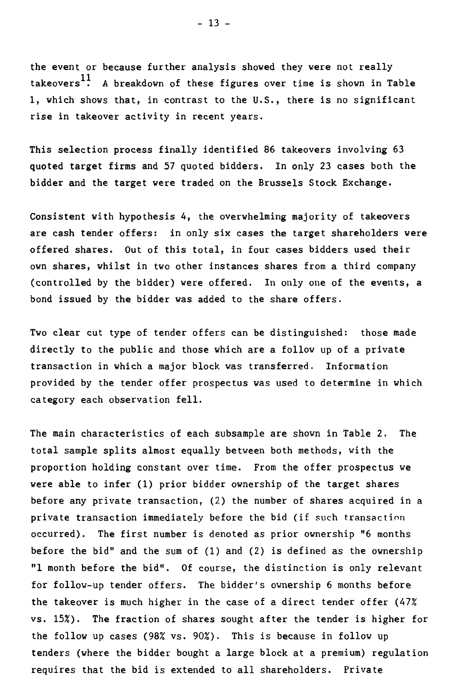the event or because further analysis showed they were not really takeovers<sup>11</sup>. A breakdown of these figures over time is shown in Table 1, which shows that, in contrast to the U.S., there is no significant rise in takeover activity in recent years.

This selection process finally identified 86 takeovers involving 63 quoted target firms and 57 quoted bidders. In only 23 cases both the bidder and the target were traded on the Brussels Stock Exchange.

Consistent with hypothesis 4, the overwhelming majority of takeovers are cash tender offers: in only six cases the target shareholders were offered shares. Out of this total, in four cases bidders used their own shares, whilst in two other instances shares from a third company (controlled by the bidder) were offered. In only one of the events, a bond issued by the bidder vas added to the share offers.

Two clear cut type of tender offers can be distinguished: those made directly to the public and those which are a follow up of a private transaction in which a major block was transferred. Information provided by the tender offer prospectus was used to determine in which category each observation fell.

The main characteristics of each subsample are shown in Table 2. The total sample splits almost equally between both methods, with the proportion holding constant over time. From the offer prospectus we were able to infer (1) prior bidder ownership of the target shares before any private transaction, (2) the number of shares acquired in a private transaction immediately before the bid (if such transaction occurred). The first number is denoted as prior ownership "6 months before the bid" and the sum of (1) and (2) is defined as the ownership "1 month before the bid". Of course, the distinction is only relevant for follow-up tender offers. The bidder's ownership 6 months before the takeover is much higher in the case of a direct tender offer (47% vs. 15%). The fraction of shares sought after the tender is higher for the follow up cases (98% vs. 90%). This is because in follow up tenders (where the bidder bought a large block at a premium) regulation requires that the bid is extended to all shareholders. Private

- 13 -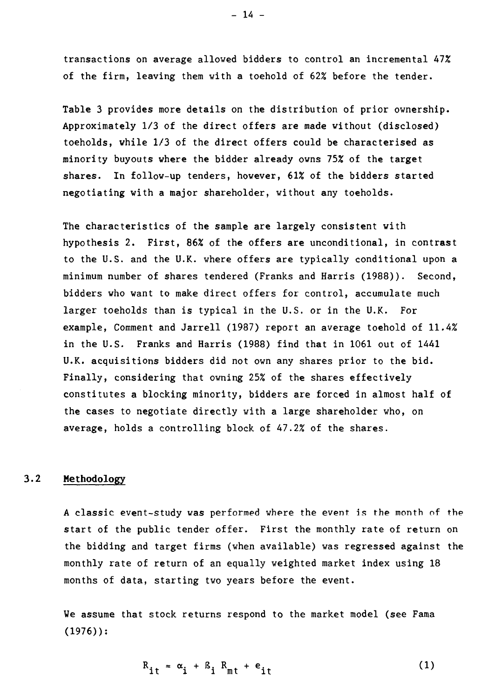**transactions on average allowed bidders to control an incremental 47% of the firm, leaving them with a toehold of 62% before the tender.** 

**Table 3 provides more details on the distribution of prior ownership. Approximately 1/3 of the direct offers are made without (disclosed) toeholds, while 1/3 of the direct offers could be characterised as minority buyouts where the bidder already owns 75% of the target shares. In follow-up tenders, however, 61% of the bidders started negotiating with a major shareholder, without any toeholds.** 

**The characteristics of the sample are largely consistent with hypothesis 2. First, 86% of the offers are unconditional, in contrast to the U.S. and the U.K. where offers are typically conditional upon a minimum number of shares tendered (Franks and Harris (1988)). Second, bidders who want to make direct offers for control, accumulate much larger toeholds than is typical in the U.S. or in the U.K. For example, Comment and Jarrell (1987) report an average toehold of 11.4% in the U.S. Franks and Harris (1988) find that in 1061 out of 1441 U.K. acquisitions bidders did not own any shares prior to the bid. Finally, considering that ovning 25% of the shares effectively constitutes a blocking minority, bidders are forced in almost half of the cases to negotiate directly with a large shareholder who, on average, holds a controlling block of 47.2% of the shares.** 

#### **3.2 Methodology**

**A classic event-study was** performed where the event is the month of the **start of the public tender offer. First the monthly rate of return on the bidding and target firms (when available) was regressed against the monthly rate of return of an equally weighted market index using 18 months of data, starting two years before the event.** 

**We assume that stock returns respond to the market model (see Fama (1976)):** 

$$
R_{it} = \alpha_i + B_i R_{mt} + e_{it}
$$
 (1)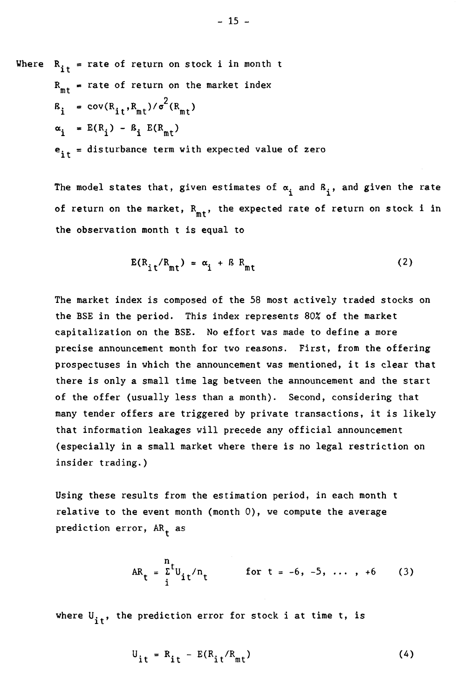Where  $R_{i,t}$  = rate of return on stock i in month t  $R_{mt}$  = rate of return on the market index  $B_i = cov(R_{it}, R_{mt})/\sigma^2(R_{mt})$  $E(R_i) - B_i E(R_{mt})$  $e_{it}$  = disturbance term with expected value of zero

> The model states that, given estimates of  $\alpha_i$  and  $B_i$ , and given the rate of return on the market,  $R_{m,t}$ , the expected rate of return on stock i in the observation month t is equal to

$$
E(R_{it}/R_{mt}) = \alpha_i + BR_{mt}
$$
 (2)

The market index is composed of the 58 most actively traded stocks on the BSE in the period. This index represents 80% of the market capitalization on the BSE. No effort was made to define a more precise announcement month for two reasons. First, from the offering prospectuses in which the announcement was mentioned, it is clear that there is only a small time lag between the announcement and the start of the offer (usually less than a month). Second, considering that many tender offers are triggered by private transactions, it is likely that information leakages will precede any official announcement (especially in a small market where there is no legal restriction on insider trading.)

Using these results from the estimation period, in each month t relative to the event month (month 0), we compute the average prediction error,  $AR_+$  as

$$
AR_{t} = \frac{r}{i}t_{0it}/n_{t} \qquad \text{for } t = -6, -5, \ldots, +6 \qquad (3)
$$

where  $\mathsf{U}_{\mathbf{it}}^{\vphantom{\dag}}$ , the prediction error for stock i at time t, is

$$
U_{it} = R_{it} - E(R_{it}/R_{mt})
$$
 (4)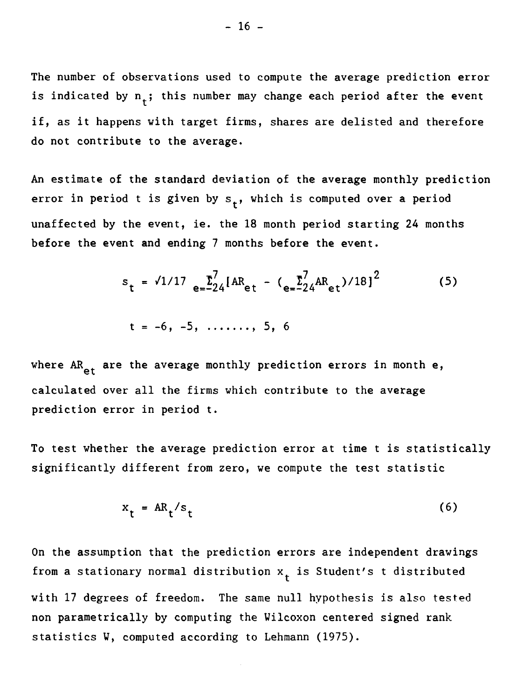The number of observations used to compute the average prediction error is indicated by  $n_t$ ; this number may change each period after the event if, as it happens with target firms, shares are delisted and therefore do not contribute to the average.

An estimate of the standard deviation of the average monthly prediction error in period t is given by  $s_t$ , which is computed over a period unaffected by the event, ie. the 18 month period starting 24 months before the event and ending 7 months before the event.

$$
s_{t} = \sqrt{1/17} e^{-\sum_{e=2}^{T} [AR_{et} - (e^{-\sum_{e=2}^{T} AR_{et})/18]}^{2}}
$$
 (5)

$$
t = -6, -5, \ldots, 5, 6
$$

where AR<sub>et</sub> are the average monthly prediction errors in month e, calculated over ail the firms which contribute to the average prediction error in period t.

To test whether the average prediction error at time t is statistically significantly different from zero, we compute the test statistic

$$
x_t = AR_t / s_t \tag{6}
$$

On the assumption that the prediction errors are independent drawings from a stationary normal distribution  $x_t$  is Student's t distributed with 17 degrees of freedom. The same null hypothesis is also tested non parametrically by computing the Wilcoxon centered signed rank statistics W, computed according to Lehmann (1975).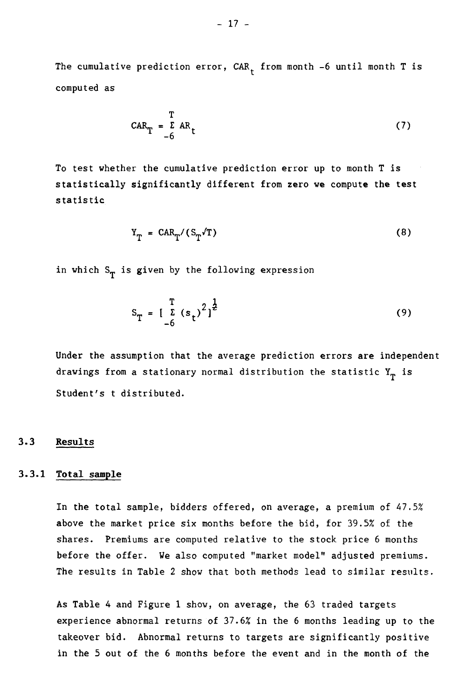The cumulative prediction error,  $CAR_{t}$  from month -6 until month T is computed as

$$
CART = \sum_{-6}^{T} ARt
$$
 (7)

To test whether the cumulative prediction error up to month T is statistically significantly different from zero we compute the test statistic

$$
Y_T = C A R_T / (S_T / T)
$$
 (8)

in which  $S_T$  is given by the following expression

$$
S_T = \left[\begin{array}{c} T \\ L \\ 6 \end{array} (s_t)^2\right]^{\frac{1}{2}}
$$
 (9)

Under the assumption that the average prediction errors are independent drawings from a stationary normal distribution the statistic  $Y_T$  is Student's t distributed.

# **3.3 Results**

# **3.3.1 Total sample**

**In** the total sample, bidders offered, on average, a premium of 47.5% above the market price six months before the bid, for 39.5% of the shares. Premiums are computed relative to the stock price 6 months before the offer. We also computed "market model" adjusted premiums. The results in Table 2 show that both methods lead to similar results.

As Table 4 and Figure 1 show, on average, the 63 traded targets experience abnormal returns of 37.6% in the 6 months leading up to the takeover bid. Abnormal returns to targets are significantly positive in the 5 out of the 6 months before the event and in the month of the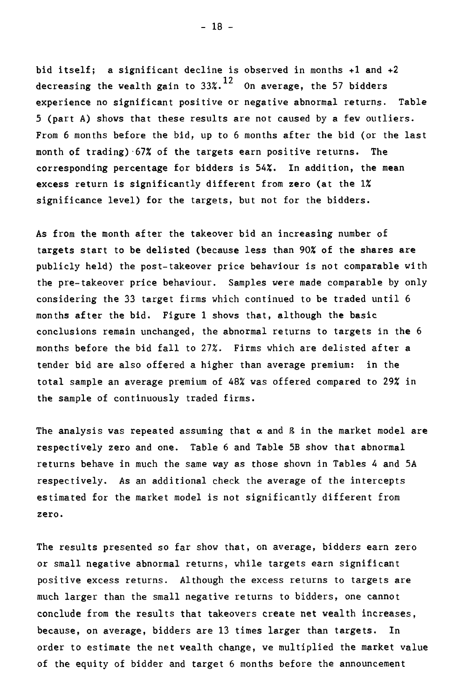bid itself; a significant decline is observed in months +1 and +2 decreasing the wealth gain to  $33\degree$ .<sup>12</sup> On average, the 57 bidders experience no significant positive or negative abnormal returns. Table 5 (part A) shows that these results are not caused by a few outliers. From 6 months before the bid, up to 6 months after the bid (or the last month of trading)•67% of the targets earn positive returns. The corresponding percentage for bidders is 54%. In addition, the mean excess return is significantly different from zero (at the 1% significance level) for the targets, but not for the bidders.

As from the month after the takeover bid an increasing number of targets start to be delisted (because less than 90% of the shares are publicly held) the post-takeover price behaviour is not comparable with the pre-takeover price behaviour. Samples were made comparable by only considering the 33 target firms which continued to be traded until 6 months after the bid. Figure 1 shows that, although the basic conclusions remain unchanged, the abnormal returns to targets in the 6 months before the bid fall to 27%. Firms which are delisted after a tender bid are also offered a higher than average premium: in the total sample an average premium of 48% was offered compared to 29% in the sample of continuously traded firms.

The analysis was repeated assuming that  $\alpha$  and  $\beta$  in the market model are respectively zero and one. Table 6 and Table 5B show that abnormal returns behave in much the same way as those shown in Tables 4 and 5A respectively. As an additional check the average of the intercepta estimated for the market model is not significantly different from zero.

The results presented so far show that, on average, bidders earn zero or small negative abnormal returns, while targets earn significant positive excess returns. Although the excess returns to targets are much larger than the small negative returns to bidders, one cannot conclude from the results that takeovers create net wealth increases, because, on average, bidders are 13 times larger than targets. In order to estimate the net wealth change, we multiplied the market value of the equity of bidder and target 6 months before the announcement

 $-18 -$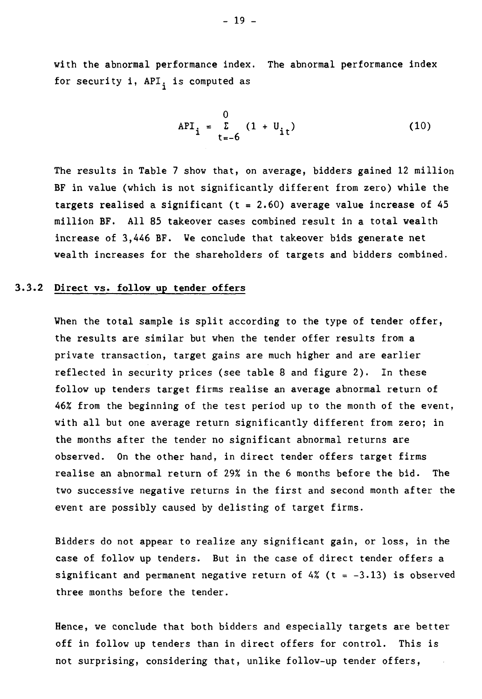with the abnormal performance index. The abnormal performance index for security  $i$ , API, is computed as

$$
API_{i} = \sum_{t=-6}^{0} (1 + U_{it})
$$
 (10)

The results in Table 7 show that, on average, bidders gained 12 million BF in value (which is not significantly different from zero) while the targets realised a significant ( $t = 2.60$ ) average value increase of 45 million BF. Ail 85 takeover cases combined result in a total wealth increase of 3,446 BF. We conclude that takeover bids generate net wealth increases for the shareholders of targets and bidders combined.

## **3.3.2 Direct vs. follow up tender offers**

When the total sample is split according to the type of tender offer, the results are similar but when the tender offer results from a private transaction, target gains are much higher and are earlier reflected in security prices (see table 8 and figure 2). In these follow up tenders target firms realise an average abnormal return of 46% from the beginning of the test period up to the month of the event, with all but one average return significantly different from zero; in the months after the tender no significant abnormal returns are observed. On the other hand, in direct tender offers target firms realise an abnormal return of 29% in the 6 months before the bid. The two successive negative returns in the first and second month after the event are possibly caused by delisting of target firms.

Bidders do not appear to realize any significant gain, or loss, in the case of follow up tenders. But in the case of direct tender offers a significant and permanent negative return of 4% (t =  $-3.13$ ) is observed three months before the tender.

Hence, we conclude that both bidders and especially targets are better off in follow up tenders than in direct offers for control. This is not surprising, considering that, unlike follow-up tender offers,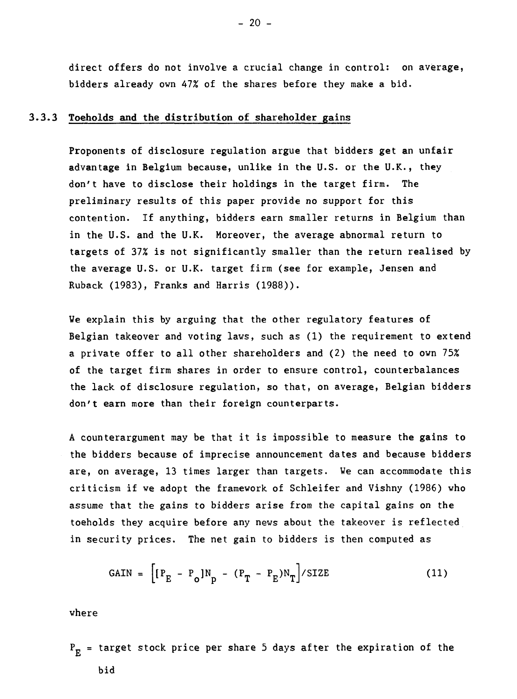direct offers do not involve a crucial change in control: on average, bidders already own 47% of the shares before they make a bid.

# **3.3.3 Toeholds and the distribution of shareholder gains**

**Proponents of disclosure regulation argue that bidders get an unfair advantage in Belgium because, unlike in the U.S. or the U.K., they don't have to disclose their holdings in the** target firm. The preliminary results of this paper provide no support for this contention. If anything, bidders earn smaller returns in Belgium than in the U.S. and the U.K. Moreover, the average abnormal return to targets of 37% is not significantly smaller than the return realised by the average U.S. or U.K. target firm (see for example, Jensen and Ruback (1983), Franks and Harris (1988)).

We explain this by arguing that the other regulatory features of Belgian takeover and voting laws, such as (1) the requirement to extend a private offer to all other shareholders and (2) the need to own 75% of the target firm shares in order to ensure control, counterbalances the lack of disclosure regulation, so that, on average, Belgian bidders don't earn more than their foreign counterparts.

A counterargument may be that it is impossible to measure the gains to the bidders because of imprecise announcement dates and because bidders are, on average, 13 times larger than targets. We can accommodate this criticism if we adopt the framework of Schleifer and Vishny (1986) who assume that the gains to bidders arise from the capital gains on the toeholds they acquire before any news about the takeover is reflected in security prices. The net gain to bidders is then computed as

$$
GAIN = \left[ \left[ P_E - P_o \right] N_p - \left( P_T - P_E \right) N_T \right] / SIZE \tag{11}
$$

where

 $P_E$  = target stock price per share 5 days after the expiration of the bid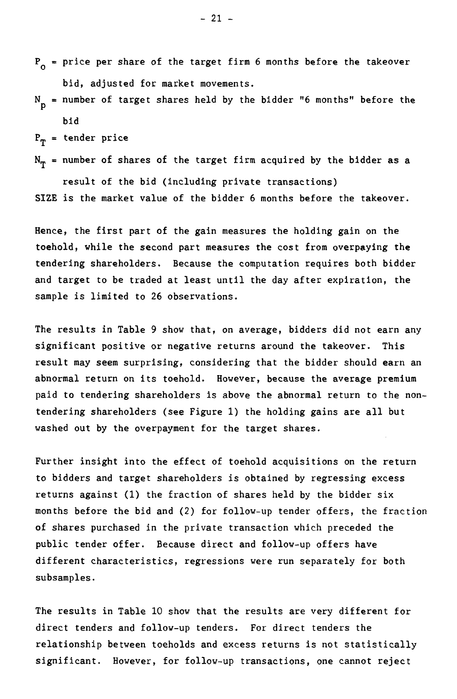- $P_{o}$  = price per share of the target firm 6 months before the takeover bid, adjusted for market movements.
- $N_{\rm p}$  = number of target shares held by the bidder "6 months" before the bid

 $P_T$  = tender price

 $\texttt{N}_{\texttt{T}}$  = number of shares of the target firm acquired by the bidder as a result of the bid (including private transactions) SIZE is the market value of the bidder 6 months before the takeover.

Hence, the first part of the gain measures the holding gain on the toehold, while the second part measures the cost from overpaying the tendering shareholders. Because the computation requires both bidder and target to be traded at least until the day after expiration, the sample is limited to 26 observations.

The results in Table 9 show that, on average, bidders did not earn any significant positive or negative returns around the takeover. This result may seem surprising, considering that the bidder should earn an abnormal return on its toehold. However, because the average premium paid to tendering shareholders is above the abnormal return to the nontendering shareholders (see Figure 1) the holding gains are ail but washed out by the overpayment for the target shares.

Further insight into the effect of toehold acquisitions on the return to bidders and target shareholders is obtained by regressing excess returns against (1) the fraction of shares held by the bidder six months before the bid and (2) for follow-up tender offers, the fraction of shares purchased in the private transaction which preceded the public tender offer. Because direct and follow-up offers have different characteristics, regressions were run separately for both subsamples.

The results in Table 10 show that the results are very different for direct tenders and follow-up tenders. For direct tenders the relationship between toeholds and excess returns is not statistically significant. However, for follow-up transactions, one cannot reject

 $-21 -$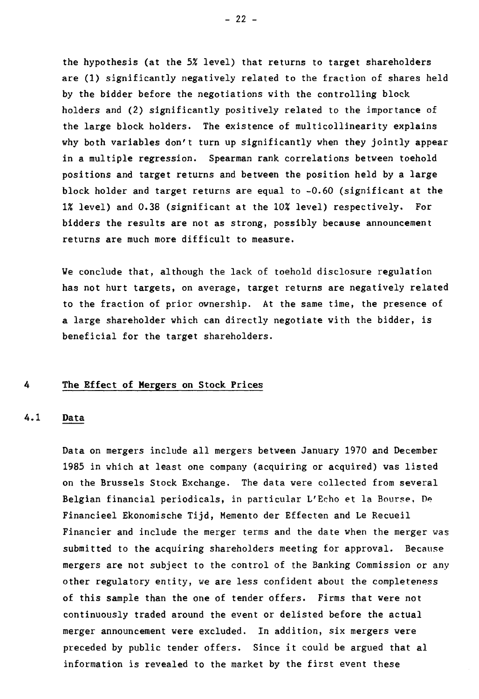the hypothesis (at the 5% level) that returns to target shareholders are (1) significantly negatively related to the fraction of shares held by the bidder before the negotiations with the controlling block holders and (2) significantly positively related to the importance of the large block holders. The existence of multicollinearity explains why both variables don't turn up significantly when they jointly appear in a multiple regression. Spearman rank correlations between toehold positions and target returns and between the position held by a large block holder and target returns are equal to  $-0.60$  (significant at the 1% level) and 0.38 (significant at the 10% level) respectively. For bidders the results are not as strong, possibly because announcement returns are much more difficult to measure.

We conclude that, although the lack of toehold disclosure regulation has not hurt targets, on average, target returns are negatively related to the fraction of prior ownership. At the same time, the presence of a large shareholder which can directly negotiate with the bidder, is beneficial for the target shareholders.

## **4 The Effect of Hergers on Stock Prices**

## **4.1 Data**

Data on mergers include ail mergers between January 1970 and December 1985 in which at least one company (acquiring or acquired) was listed on the Brussels Stock Exchange. The data were collected from several Belgian financial periodicals, in particular L'Echo et la Bourse, De Financieel Ekonomische Tijd, Memento der Effecten and Le Recueil Financier and include the merger terms and the date when the merger was submitted to the acquiring shareholders meeting for approval. Because mergers are not subject to the control of the Banking Commission or any other regulatory entity, we are less confident about the completeness of this sample than the one of tender offers. Firms that were not continuously traded around the event or delisted before the actual merger announcement were excluded. In addition, six mergers were preceded by public tender offers. Since it could be argued that al information is revealed to the market by the first event these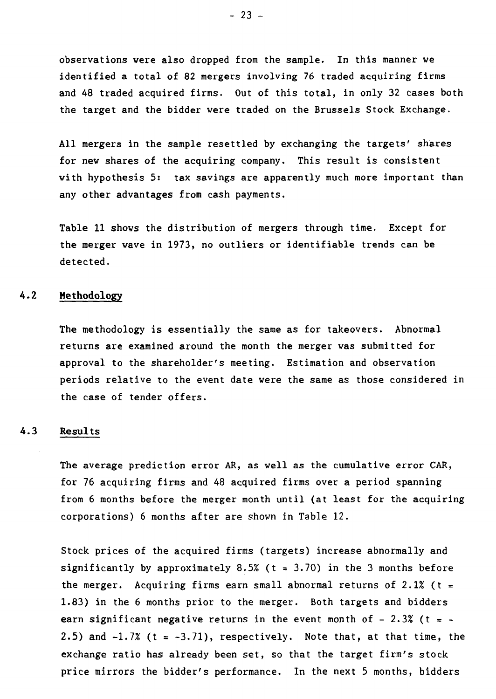**observations were also dropped from the sample. In this manner we identified a total of 82 mergers involving 76 traded acquiring firms and 48 traded acquired firms. Out of this total, in only 32 cases both the target and the bidder were traded on the Brussels Stock Exchange.** 

**Ail mergers in the sample resettled by exchanging the targets' shares for new shares of the acquiring company. This result is consistent with hypothesis 5: tax savings are apparently much more important than any other advantages from cash payments.** 

**Table 11 shows the distribution of mergers through time. Except for the merger wave in 1973, no outliers or identifiable trends can be detected.** 

# **4.2 Methodology**

**The methodology is essentially the same as for takeovers. Abnormal returns are examined around the month the merger was submitted for approval to the shareholder's meeting. Estimation and observation periods relative to the event date were the same as those considered in the case of tender offers.** 

# **4.3 Results**

**The average prediction error AR, as well as the cumulative error CAR, for 76 acquiring firms and 48 acquired firms over a period spanning from 6 months before the merger month until (at least for the acquiring corporations) 6 months after are shown in Table 12.** 

**Stock prices of the acquired firms (targets) increase abnormally and significantly by approximately 8.5% (t = 3.70) in the 3 months before the merger. Acquiring firms earn small abnormal returns of 2.1% (t = 1.83) in the 6 months prior to the merger. Both targets and bidders earn significant negative returns in the event month of - 2.3% (t = - 2.5) and -1.7% (t = -3.71), respectively. Note that, at that time, the exchange ratio has already been set, so that the target firm's stock price mirrors the bidder's performance. In the next 5 months, bidders**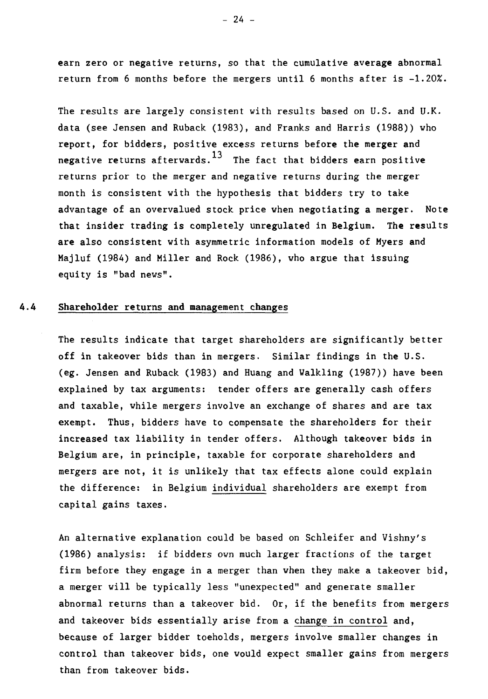earn zero or negative returns, so that the cumulative average abnormal return from 6 months before the mergers until 6 months after is  $-1.20\%$ .

The results are largely consistent with results based on U.S. and U.K. data (see Jensen and Ruback (1983), and Franks and Harris (1988)) who report, for bidders, positive excess returns before the merger and negative returns afterwards.<sup>13</sup> The fact that bidders earn positive returns prior to the merger and negative returns during the merger month is consistent with the hypothesis that bidders try to take advantage of an overvalued stock price when negotiating a merger. Note that insider trading is completely unregulated in Belgium. The results are also consistent with asymmetric information models of Myers and Majluf (1984) and Miller and Rock (1986), who argue that issuing equity is "bad news".

# **4.4 Shareholder returns and management changes**

The results indicate that target shareholders are significantly better off in takeover bids than in mergers. Similar findings in the U.S. (eg. Jensen and Ruback (1983) and Huang and Walkling (1987)) have been explained by tax arguments: tender offers are generally cash offers and taxable, while mergers involve an exchange of shares and are tax exempt. Thus, bidders have to compensate the shareholders for their increased tax liability in tender offers. Although takeover bids in Belgium are, in principle, taxable for corporate shareholders and mergers are not, it is unlikely that tax effects alone could explain the difference: in Belgium individual shareholders are exempt from capital gains taxes.

An alternative explanation could be based on Schleifer and Vishny's (1986) analysis: if bidders own much larger fractions of the target firm before they engage in a merger than when they make a takeover bid, a merger will be typically less "unexpected" and generate smaller abnormal returns than a takeover bid. Or, if the benefits from mergers and takeover bids essentially arise from a change in control and, because of larger bidder toeholds, mergers involve smaller changes in control than takeover bids, one would expect smaller gains from mergers than from takeover bids.

 $- 24 -$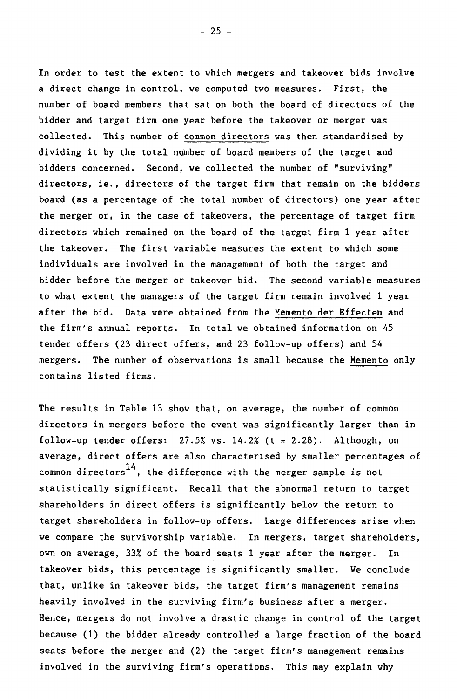In order to test the extent to which mergers and takeover bids involve a direct change in control, we computed two measures. First, the number of board members that sat on both the board of directors of the bidder and target firm one year before the takeover or merger was collected. This number of common directors vas then standardised by dividing it by the total number of board members of the target and bidders concerned. Second, we collected the number of "surviving" directors, ie., directors of the target firm that remain on the bidders board (as a percentage of the total number of directors) one year after the merger or, in the case of takeovers, the percentage of target firm directors which remained on the board of the target firm 1 year after the takeover. The first variable measures the extent to which some individuals are involved in the management of both the target and bidder before the merger or takeover bid. The second variable measures to what extent the managers of the target firm remain involved 1 year after the bid. Data were obtained from the Memento der Effecten and the firm's annual reports. In total we obtained information on 45 tender offers (23 direct offers, and 23 follow-up offers) and 54 mergers. The number of observations is small because the Memento only contains listed firms.

The results in Table 13 show that, on average, the number of common directors in mergers before the event was significantly larger than in follow-up tender offers:  $27.5%$  vs.  $14.2%$  (t = 2.28). Although, on average, direct offers are also characterised by smaller percentages of common directors<sup>14</sup>, the difference with the merger sample is not statistically significant. Recall that the abnormal return to target shareholders in direct offers is significantly below the return to target shareholders in follow-up offers. Large differences arise when we compare the survivorship variable. In mergers, target shareholders, own on average, 33% of the board seats 1 year after the merger. In takeover bids, this percentage is significantly smaller. We conclude that, unlike in takeover bids, the target firm's management remains heavily involved in the surviving firm's business after a merger. Hence, mergers do not involve a drastic change in control of the target because (1) the bidder already controlled a large fraction of the board seats before the merger and (2) the target firm's management remains involved in the surviving firm's operations. This may explain why

 $- 25 -$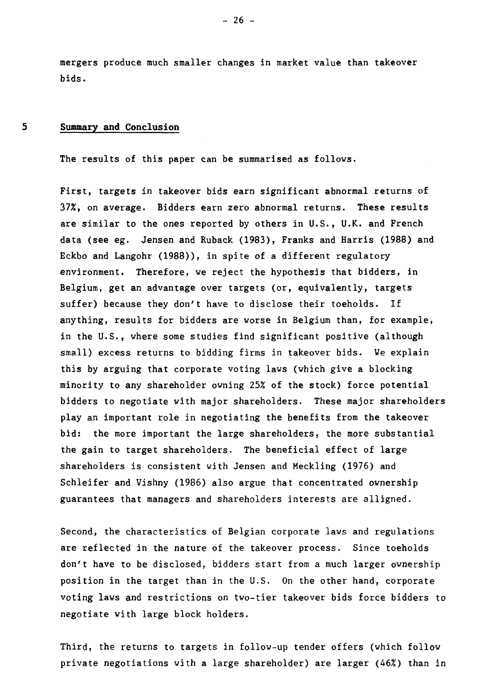**mergers produce much smaller changes in market value than takeover bids.** 

# **5 Summary and Conclusion**

**The results of this paper can be summarised as follows.** 

**First, targets in takeover bids earn significant abnormal returns of 37%, on average. Bidders earn zero abnormal returns. These results are similar to the ones reported by others in U.S., U.K. and French data (see eg. Jensen and Ruback (1983), Franks and Harris (1988) and Eckbo and Langohr (1988)), in spite of a different regulatory environment. Therefore, we reject the hypothesis that bidders, in Belgium, get an advantage over targets (or, equivalently, targets suffer) because they don't have to disclose their toeholds. If anything, results for bidders are worse in Belgium than, for example, in the U.S., where some studies find significant positive (although small) excess returns to bidding firms in takeover bids. We explain this by arguing that corporate voting laws (which give a blocking minority to any shareholder owning 25% of the stock) force potential bidders to negotiate with major shareholders. These major shareholders play an important role in negotiating the benefits from the takeover bid: the more important the large shareholders, the more substantial the gain to target shareholders. The beneficial effect of large shareholders is consistent with Jensen and Meckling (1976) and Schleifer and Vishny (1986) also argue that concentrated ownership guarantees that managers and shareholders interests are alligned.** 

**Second, the characteristics of Belgian corporate laws and regulations are reflected in the nature of the takeover process. Since toeholds don't have to be disclosed, bidders start from a much larger ownership position in the target than in the U.S. On the other hand, corporate voting laws and restrictions on two-tier takeover bids force bidders to negotiate with large block holders.** 

**Third, the returns to targets in follow-up tender offers (which follow private negotiations with a large shareholder) are larger (46%) than in** 

**- 26 -**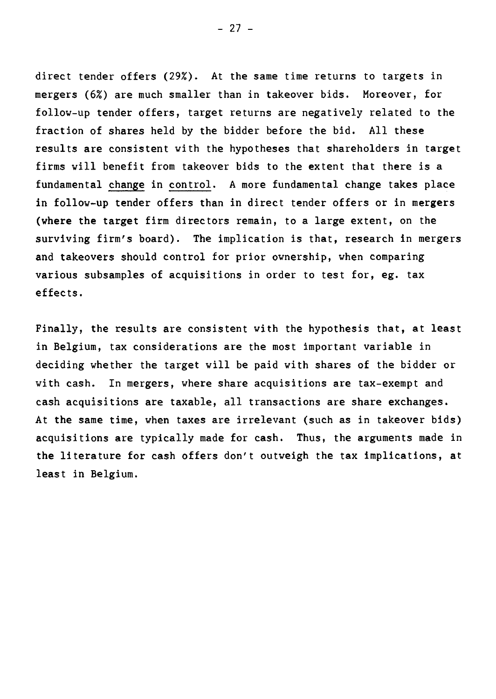direct tender offers (29%). At the same time returns to targets in mergers (6%) are much smaller than in takeover bids. Moreover, for follow-up tender offers, target returns are negatively related to the fraction of shares held by the bidder before the bid. Ail these results are consistent with the hypotheses that shareholders in target firms will benefit from takeover bids to the extent that there is a fundamental change in control. A more fundamental change takes place in follow-up tender offers than in direct tender offers or in mergers (where the target firm directors remain, to a large extent, on the surviving firm's board). The implication is that, research in mergers and takeovers should control for prior ownership, when comparing various subsamples of acquisitions in order to test for, eg. tax effects.

Finally, the results are consistent with the hypothesis that, at least in Belgium, tax considerations are the most important variable in deciding whether the target will be paid with shares of the bidder or with cash. In mergers, where share acquisitions are tax-exempt and cash acquisitions are taxable, all transactions are share exchanges. At the same time, when taxes are irrelevant (such as in takeover bids) acquisitions are typically made for cash. Thus, the arguments made in the literature for cash offers don't outweigh the tax implications, at least in Belgium.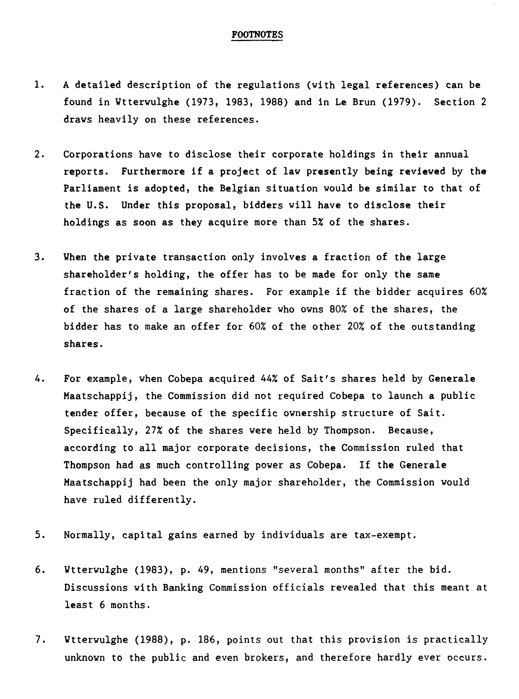## FOOTNOTES

- 1. A detailed description of the regulations (with legal references) can be found in Wtterwulghe (1973, 1983, 1988) and in Le Brun (1979). Section 2 draws heavily on these references.
- 2. Corporations have to disclose their corporate holdings in their annual reports. Furthermore if a project of law presently being reviewed by the Parliament is adopted, the Belgian situation would be similar to that of the U.S. Under this proposai, bidders will have to disclose their holdings as soon as they acquire more than 5% of the shares.
- 3. When the private transaction only involves a fraction of the large shareholder's holding, the offer has to be made for only the same fraction of the remaining shares. For example if the bidder acquires 60% of the shares of a large shareholder who owns 80% of the shares, the bidder has to make an offer for 60% of the other 20% of the outstanding shares.
- 4. For example, when Cobepa acquired 44% of Sait's shares held by Generale Maatschappij, the Commission did not required Cobepa to launch a public tender offer, because of the specific ownership structure of Sait. Specifically, 27% of the shares were held by Thompson. Because, according to all major corporate decisions, the Commission ruled that Thompson had as much controlling power as Cobepa. If the Generale Maatschappij had been the only major shareholder, the Commission would have ruled differently.
- 5. Normally, capital gains earned by individuals are tax-exempt.
- 6. Wtterwulghe (1983), p. 49, mentions "several months" after the bid. Discussions with Banking Commission officiais revealed that this meant at least 6 months.
- 7. Wtterwulghe (1988), p. 186, points out that this provision is practically unknown to the public and even brokers, and therefore hardly ever occurs.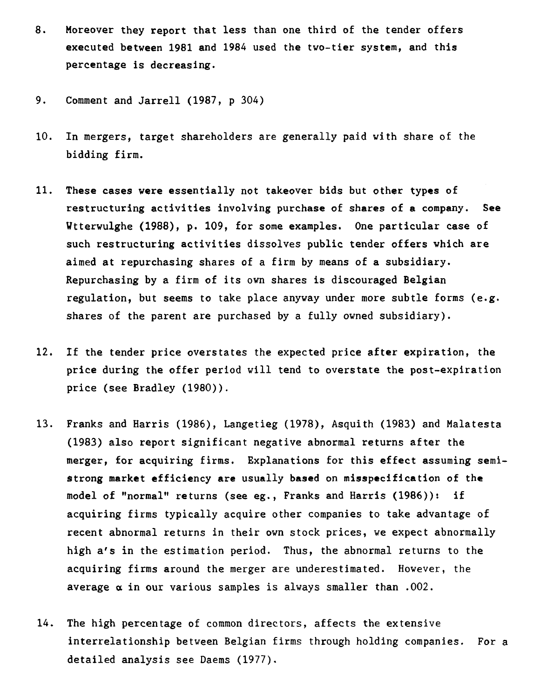- 8. Moreover they report that less than one third of the tender offers executed between 1981 and 1984 used the two-tier system, and this percentage is decreasing.
- 9. Comment and Jarrell (1987, p 304)
- 10. In mergers, target shareholders are generally paid with share of the bidding firm.
- 11. These cases were essentially not takeover bids but other types of restructuring activities involving purchase of shares of a company. See Wtterwulghe (1988), p. 109, for some exemples. One particular case of such restructuring activities dissolves public tender offers which are aimed at repurchasing shares of a firm by means of a subsidiary. Repurchasing by a firm of its own shares is discouraged Belgian regulation, but seems to take place anyway under more subtle forms (e.g. shares of the parent are purchased by a fully owned subsidiary).
- 12. If the tender price overstates the expected price after expiration, the price during the offer period will tend to overstate the post-expiration price (see Bradley (1980)).
- 13. Franks and Harris (1986), Langetieg (1978), Asquith (1983) and Malatesta (1983) also report significant negative abnormal returns after the merger, for acquiring firms. Explanations for this effect assuming semistrong market efficiency are usually based on misspecification of the model of "normal" returns (see eg., Franks and Harris (1986)): if acquiring firms typically acquire other companies to take advantage of recent abnormal returns in their own stock prices, we expect abnormally high a's in the estimation period. Thus, the abnormal returns to the acquiring firms around the merger are underestimated. However, the average  $\alpha$  in our various samples is always smaller than .002.
- 14. The high percentage of common directors, affects the extensive interrelationship between Belgian firms through holding companies. For a detailed analysis see Daems (1977).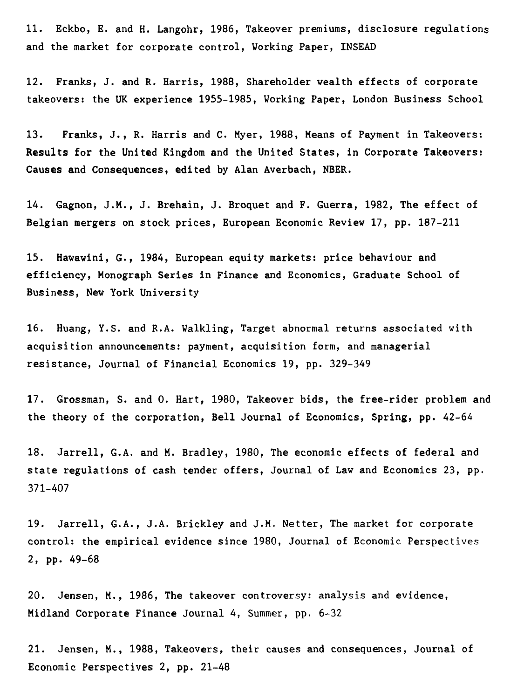11. Eckbo, E. and H. Langohr, 1986, Takeover premiums, disclosure regulations and the market for corporate control, Working Paper, INSEAD

12. Franks, J. and R. Harris, 1988, Shareholder wealth effects of corporate takeovers: the UK experience 1955-1985, Working Paper, London Business School

13. Franks, J., R. Harris and C. Myer, 1988, Means of Payment in Takeovers: **Results for the United Kingdom and the United States, in Corporate Takeovers: Causes and Consequences, edited** by Alan Averbach, NBER.

14. Gagnon, J.M., J. Brehain, J. Broquet and F. Guerra, 1982, The effect of Belgian mergers on stock prices, European Economic Review 17, pp. 187-211

15. Hawawini, G., 1984, European equity markets: price behaviour and efficiency, Monograph Series in Finance and Economics, Graduate School of Business, New York University

16. Huang, Y.S. and R.A. Walkling, Target abnormal returns associated with acquisition announcements: payment, acquisition form, and managerial resistance, Journal of Financial Economics 19, pp. 329-349

17. Grossman, S. and 0. Hart, 1980, Takeover bids, the free-rider problem and the theory of the corporation, Bell Journal of Economics, Spring, pp. 42-64

18. Jarrell, G.A. and M. Bradley, 1980, The economic effects of federal and state regulations of cash tender offers, Journal of Law and Economics 23, pp. 371-407

19. Jarrell, G.A., J.A. Brickley and J.M. Netter, The market for corporate control: the empirical evidence since 1980, Journal of Economic Perspectives 2, pp. 49-68

20. Jensen, M., 1986, The takeover controversy: analysis and evidence, Midland Corporate Finance Journal 4, Summer, pp. 6-32

21. Jensen, M., 1988, Takeovers, their causes and consequences, Journal of Economic Perspectives 2, pp. 21-48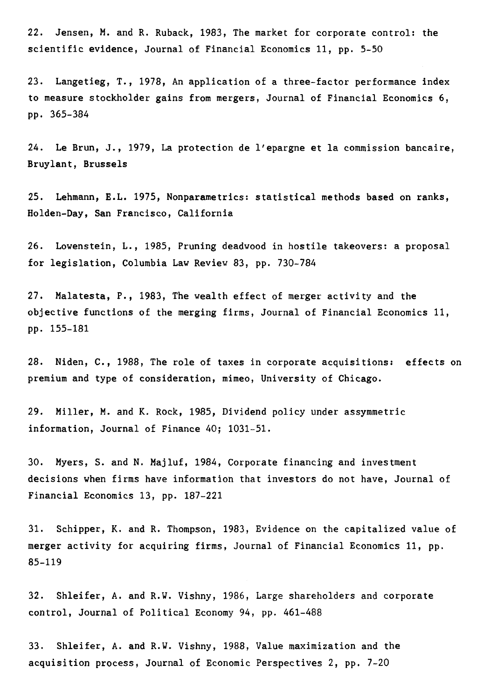22. Jensen, M. and R. Ruback, 1983, The market for corporate control: the scientific evidence, Journal of Financial Economics 11, pp. 5-50

23. Langetieg, T., 1978, An application of a three-factor performance index to measure stockholder gains from mergers, Journal of Financial Economics 6, pp. 365-384

24. Le Brun, J., 1979, La protection de l'epargne et la commission bancaire, Bruylant, Brussels

25. Lehmann, E.L. 1975, Nonparametrics: statistical methods based on ranks, Holden-Day, San Francisco, California

26. Lowenstein, L., 1985, Pruning deadwood in hostile takeovers: a proposal for legislation, Columbia Law Review 83, pp. 730-784

27. Malatesta, P., 1983, The wealth effect of merger activity and the objective functions of the merging firms, Journal of Financial Economics 11, pp. 155-181

28. Niden, C., 1988, The role of taxes in corporate acquisitions: effects on premium and type of consideration, mimeo, University of Chicago.

29. Miller, M. and K. Rock, 1985, Dividend policy under assymmetric information, Journal of Finance 40; 1031-51.

30. Myers, S. and N. Majluf, 1984, Corporate financing and investment decisions when firms have information that investors do not have, Journal of Financial Economics 13, pp. 187-221

31. Schipper, K. and R. Thompson, 1983, Evidence on the capitalized value of merger activity for acquiring firms, Journal of Financial Economics 11, pp. 85-119

32. Shleifer, A. and R.W. Vishny, 1986, Large shareholders and corporate control, Journal of Political Economy 94, pp. 461-488

33. Shleifer, A. and R.W. Vishny, 1988, Value maximization and the acquisition process, Journal of Economic Perspectives 2, pp. 7-20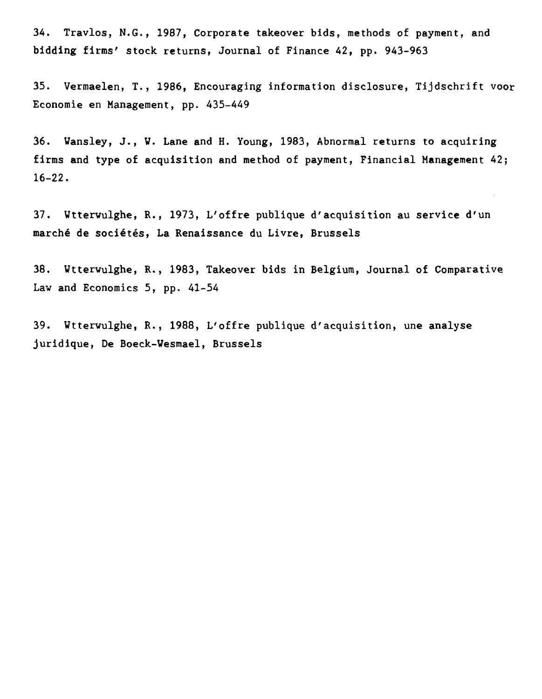**34. Travlos, N.G., 1987, Corporate takeover bids, methods of payment, and bidding firms' stock returns, Journal of Finance 42, pp. 943-963** 

**35. Vermaelen, T., 1986, Encouraging information disclosure, Tijdschrift voor Economie en Management, pp. 435-449** 

**36. Wansley, J., W. Lane and H. Young, 1983, Abnormal returns to acquiring firms and type of acquisition and method of payment, Financial Management 42; 16-22.** 

**37. Wtterwulghe, R., 1973, L'offre publique d'acquisition au service d'un marché de sociétés, La Renaissance du Livre, Brussels** 

**38. Wtterwulghe, R., 1983, Takeover bids in Belgium, Journal of Comparative Law and Economics 5, pp. 41-54** 

**39. Wtterwulghe, R., 1988, L'offre publique d'acquisition, une analyse juridique, De Boeck-Wesmael, Brussels**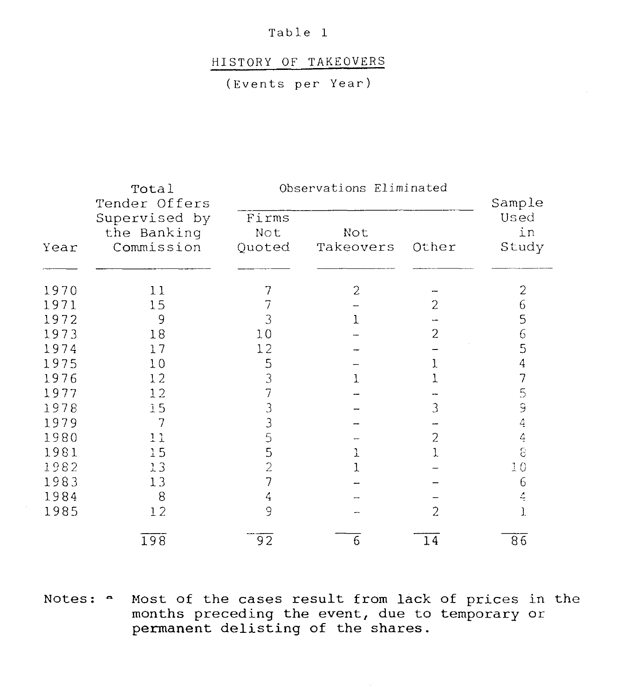## HISTORY OF TAKEOVERS

(Events per Year)

|                                                    | Total<br>Tender Offers |                        | Observations Eliminated |                |                               |
|----------------------------------------------------|------------------------|------------------------|-------------------------|----------------|-------------------------------|
| Supervised by<br>the Banking<br>Commission<br>Year |                        | Firms<br>Not<br>Quoted | Not<br>Takeovers        | Other          | Sample<br>Used<br>in<br>Study |
| 1970                                               | 11                     | 7                      | $\overline{c}$          |                | $\overline{c}$                |
| 1971                                               | 15                     |                        |                         | 2              | 6                             |
| 1972                                               | 9                      | 3                      |                         |                | 5                             |
| 1973                                               | 18                     | 10                     |                         | 2              | 6                             |
| 1974                                               | 17                     | 12                     |                         |                | 5                             |
| 1975                                               | 10                     | 5                      |                         |                | 4                             |
| 1976                                               | 12                     | 3                      |                         |                | 7                             |
| 1977                                               | 12                     |                        |                         |                | 5                             |
| 1978                                               | 15                     |                        |                         | 3              | 9                             |
| 1979                                               | 7                      | 3                      |                         |                | 4                             |
| 1980                                               | 11                     | 5                      |                         | 2              | 4                             |
| 1981                                               | 15                     | 5                      | 1                       |                | 8                             |
| 1982                                               | 13                     | $\overline{2}$         |                         |                | 10                            |
| 1983                                               | 13                     | 7                      |                         |                | 6                             |
| 1984                                               | 8                      | 4                      |                         |                | 4                             |
| 1985                                               | 12                     | 9                      |                         | $\overline{2}$ | 1.                            |
|                                                    | 198                    | 92                     | 6                       | 14             | 86                            |

Notes:  $\sim$  Most of the cases result from lack of prices in the months preceding the event, due to temporary or permanent delisting of the shares.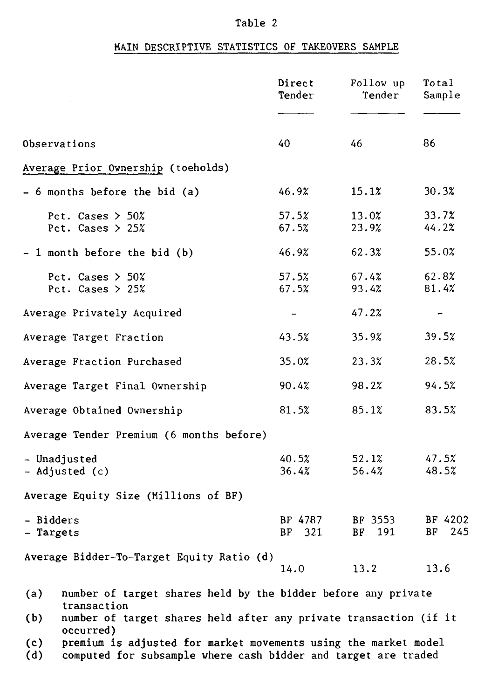# MAIN DESCRIPTIVE STATISTICS OF TAKEOVERS SAMPLE

|                                                                                       | Direct<br>Tender  | Follow up<br>Tender | Total<br>Sample          |
|---------------------------------------------------------------------------------------|-------------------|---------------------|--------------------------|
|                                                                                       |                   |                     |                          |
| Observations                                                                          | 40                | 46                  | 86                       |
| Average Prior Ownership (toeholds)                                                    |                   |                     |                          |
| $-6$ months before the bid (a)                                                        | 46.9%             | 15.1%               | 30.3%                    |
| Pct. Cases $>$ 50%<br>Pct. Cases $> 25%$                                              | 57.5%<br>67.5%    | 13.0%<br>23.9%      | 33.7%<br>44.2%           |
| - 1 month before the bid (b)                                                          | 46.9%             | 62.3%               | 55.0%                    |
| Pct. Cases $> 50\%$<br>Pct. Cases $> 25%$                                             | 57.5%<br>67.5%    | 67.4%<br>93.4%      | 62.8%<br>81.4%           |
| Average Privately Acquired                                                            |                   | 47.2%               | $\overline{\phantom{m}}$ |
| Average Target Fraction                                                               | 43.5%             | 35.9%               | 39.5%                    |
| Average Fraction Purchased                                                            | 35.0%             | 23.3%               | 28.5%                    |
| Average Target Final Ownership                                                        | 90.4%             | 98.2%               | 94.5%                    |
| Average Obtained Ownership                                                            | 81.5%             | 85.1%               | 83.5%                    |
| Average Tender Premium (6 months before)                                              |                   |                     |                          |
| - Unadjusted<br>- Adjusted (c)                                                        | 40.5%<br>36.4%    | 52.1%<br>56.4%      | 47.5%<br>48.5%           |
| Average Equity Size (Millions of BF)                                                  |                   |                     |                          |
| - Bidders<br>- Targets                                                                | BF 4787<br>BF 321 | BF 3553<br>BF 191   | BF 4202<br>BF 245        |
| Average Bidder-To-Target Equity Ratio (d)                                             | 14.0              | 13.2                | 13.6                     |
| number of target shares held by the bidder before any private<br>(a)<br>transaction   |                   |                     |                          |
| number of target shares held after any private transaction (if it<br>(b)<br>occurred) |                   |                     |                          |

(c) premium is adjusted for market movements using the market model

(d) computed for subsample where cash bidder and target are traded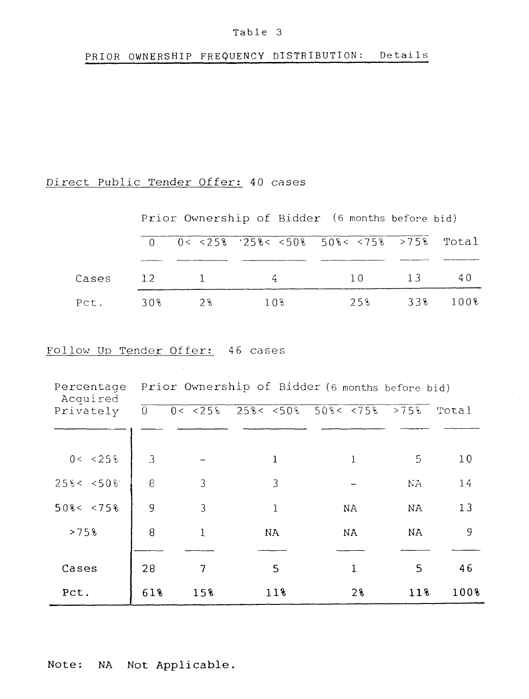# PRIOR OWNERSHIP FREQUENCY DISTRIBUTION: Details

# Direct Public Tender Offer: 40 cases

Prior Ownership of Bidder (6 months before bid)

|  |                 | $0 \t 0 \lt 25\$ '25\% \cdots \cdots \cdots \cdots \cdots \cdots \cdots \cdots \cdots \cdots \cdots \cdots \cdots \cdots \cdots \cdots \cdots \cdots \cdots \cdots \cdots \cdots \cdots \cdots \cdots \cdots \cdots \cdots \cdot |              |  |
|--|-----------------|----------------------------------------------------------------------------------------------------------------------------------------------------------------------------------------------------------------------------------|--------------|--|
|  |                 | Cases 12 1 4 10 13 40                                                                                                                                                                                                            |              |  |
|  | Pct. 30% 2% 10% |                                                                                                                                                                                                                                  | 258 338 1008 |  |

# Follow Up Tender Offer: 46 cases

| Percentage<br>Acquired |                |     |     | Prior Ownership of Bidder (6 months before bid) |        |       |
|------------------------|----------------|-----|-----|-------------------------------------------------|--------|-------|
| Privately              | $\overline{0}$ |     |     | $0 < 258$ $258 < 508$ $508 < 758$ $>758$        |        | Total |
| 0 < 25                 | 3              |     | 1   | 1                                               | 5      | 10    |
|                        |                |     |     |                                                 |        |       |
| 25% < 50%              | $\epsilon$     | 3   | 3   |                                                 | NA.    | 14    |
| $50$ & < $< 75$ &      | 9              | 3   | 1   | NA                                              | NA     | 13    |
| >75%                   | 8              | 1   | NA. | NA.                                             | NA     | 9     |
| Cases                  | 28             | 7   | 5   | 1                                               | 5      | 46    |
| Pct.                   | 618            | 15% | 11% | 2%                                              | $11\%$ | 100%  |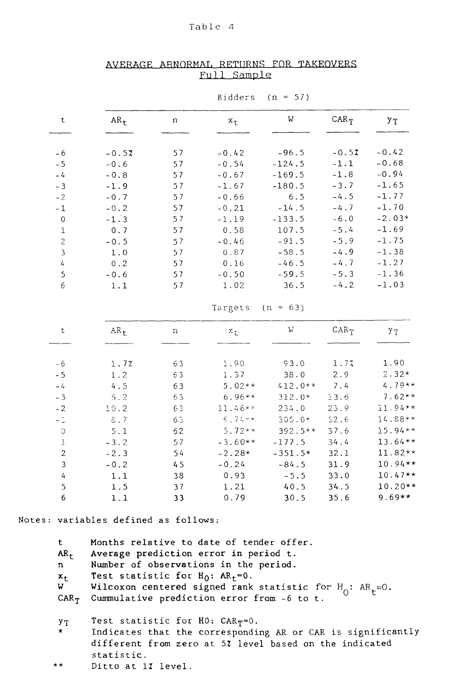|                           | Bidders<br>$(n = 57)$ |    |           |            |         |           |  |  |
|---------------------------|-----------------------|----|-----------|------------|---------|-----------|--|--|
| t                         | $AR_t$                | n  | $x_{t}$   | W          | $CAR_T$ | УŢ        |  |  |
| $-6$                      | $-0.52$               | 57 | $-0.42$   | $-96.5$    | $-0.52$ | $-0.42$   |  |  |
| $-5$                      | $-0.6$                | 57 | $-0.54$   | $-124.5$   | $-1.1$  | $-0.68$   |  |  |
| $-4$                      | $-0.8$                | 57 | $-0.67$   | $-169.5$   | $-1.8$  | $-0.94$   |  |  |
| $-3$                      | $-1.9$                | 57 | $-1.67$   | $-180.5$   | $-3.7$  | $-1.65$   |  |  |
| $-2$                      | $-0.7$                | 57 | $-0.66$   | $6.5$      | $-4.5$  | $-1.77$   |  |  |
| $\mathbf{-1}$             | $-0.2$                | 57 | $-0.21$   | $-14.5$    | $-4.7$  | $-1.70$   |  |  |
| $\,0\,$                   | $-1.3$                | 57 | $-1.19$   | $-133.5$   | $-6.0$  | $-2.03*$  |  |  |
| $\,1$                     | 0.7                   | 57 | 0.58      | 107.5      | $-5.4$  | $-1.69$   |  |  |
| $\overline{c}$            | $-0.5$                | 57 | $-0.46$   | $-91.5$    | $-5.9$  | $-1.75$   |  |  |
| $\overline{3}$            | 1.0                   | 57 | 0.87      | $-58.5$    | $-4.9$  | $-1.38$   |  |  |
| $\overline{4}$            | $0.2\,$               | 57 | 0.16      | $-46.5$    | $-4.7$  | $-1.27$   |  |  |
| 5                         | $-0.6$                | 57 | $-0.50$   | $-59.5$    | $-5.3$  | $-1.36$   |  |  |
| 6                         | 1.1                   | 57 | 1.02      | 36.5       | $-4.2$  | $-1.03$   |  |  |
|                           |                       |    | Targets   | $(n = 63)$ |         |           |  |  |
| t                         | $AR_t$                | n  | χ£        | W          | $CAR_T$ | УŢ        |  |  |
|                           |                       |    |           |            |         |           |  |  |
| $-6$                      | 1.72                  | 63 | 1.90      | 93.0       | 1.7%    | 1.90      |  |  |
| $-5$                      | 1.2                   | 63 | 1.37      | 38.0       | 2.9     | $2.32*$   |  |  |
| $-4$                      | 4.5                   | 63 | $5.02**$  | $412.0**$  | 7.4     | $4.79**$  |  |  |
| $-3$                      | 5.2                   | 63 | $6.96**$  | $312.0*$   | 13.6    | $7.62**$  |  |  |
| $-2$                      | 10.2                  | 63 | $11.46**$ | 234.0      | 23.9    | 11.94**   |  |  |
| $-1$                      | 8.7                   | 63 | $5.76**$  | $305.0*$   | 52.6    | 14.88**   |  |  |
| $\circlearrowleft$        | 5.1                   | 62 | $5.72**$  | $392.5**$  | 37.6    | 15.94**   |  |  |
| $\ensuremath{\textsc{1}}$ | $-3.2$                | 57 | $-3.60**$ | $-177.5$   | 34.4    | $13.64**$ |  |  |
| $\sqrt{2}$                | $-2.3$                | 54 | $-2.28*$  | $-351.5*$  | 32.1    | $11.82**$ |  |  |
| $\mathsf 3$               | $-0.2$                | 45 | $-0.24$   | $-84.5$    | 31.9    | $10.94**$ |  |  |
| $\frac{1}{4}$             | 1.1                   | 38 | 0.93      | $-5.5$     | 33.0    | $10.47**$ |  |  |
| 5                         | 1.5                   | 37 | 1.21      | 40.5       | 34.5    | $10.20**$ |  |  |
| 6                         | 1.1                   | 33 | 0.79      | 30.5       | 35.6    | $9.69**$  |  |  |

# AVERAGE ABNORMAL RETURNS FOR TAKEOVERS Full Sample

Notes: variables defined as follows:

t Months relative to date of tender offer.<br>AR<sub>t</sub> Average prediction error in period t. Average prediction error in period t. n Number of observations in the period.  $x_t$  Test statistic for  $H_0$ :  $AR_t = 0$ .<br>W Wilcoxon centered signed rank  $W$  Wilcoxon centered signed rank statistic for  $H_0$ :  $AR_t=0$ .  $CAR_{T}$  Cummulative prediction error from -6 to t.  $y_T$  Test statistic for HO:  $CAR_T = 0$ . Indicates that the corresponding AR or CAR is significantly different from zero at 52 level based on the indicated statistic.

\*\* Ditto at 12 level.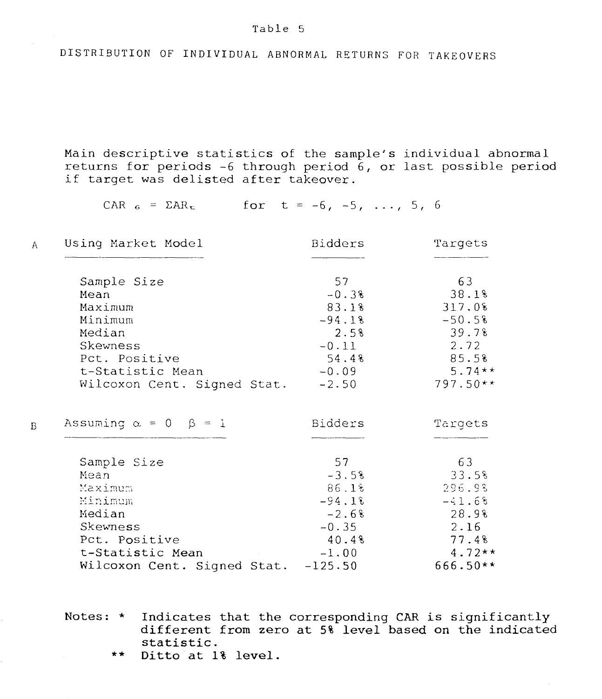DISTRIBUTION OF INDIVIDUAL ABNORMAL RETURNS FOR TAKEOVERS

Main descriptive statistics of the sample's individual abnormal returns for periods  $-6$  through period  $6$ , or last possible period if target was delisted after takeover.

CAR  $_6$  =  $\Sigma$ AR<sub>t</sub> for t = -6, -5, ..., 5, 6

| Using Market Model                                      | Bidders  | Targets                    |  |
|---------------------------------------------------------|----------|----------------------------|--|
|                                                         | 57       | 63                         |  |
| Sample Size                                             |          |                            |  |
| Mean                                                    | $-0.3%$  | 38.18                      |  |
| Maximum                                                 | 83.18    | 317.08                     |  |
| Minimum                                                 | $-94.18$ | $-50.5%$                   |  |
| Median                                                  | 2.5%     | 39.78                      |  |
| Skewness                                                | $-0.11$  | 2.72                       |  |
| Pct. Positive                                           | 54.48    | 85.5%                      |  |
| t-Statistic Mean                                        | $-0.09$  | $5.74**$                   |  |
| Wilcoxon Cent. Signed Stat.                             | $-2.50$  | $797.50**$                 |  |
|                                                         |          |                            |  |
| Sample Size                                             | 57       | 63                         |  |
| Mean                                                    | $-3.5%$  | 33.58                      |  |
| Maximum                                                 | 86.1%    | 296.98                     |  |
| Minimum                                                 | $-94.18$ |                            |  |
| Median                                                  |          |                            |  |
|                                                         | $-2.6%$  |                            |  |
| Skewness                                                | $-0.35$  | 2.16                       |  |
| Pct. Positive                                           | 40.48    | $-41.68$<br>28.9%<br>77.48 |  |
| t-Statistic Mean<br>Wilcoxon Cent. Signed Stat. -125.50 | $-1.00$  | $4.72**$<br>666.50**       |  |

Notes: \* Indicates that the corresponding CAR is significantly different from zero at 5% level based on the indicated statistic.

\*\* Ditto at 1% level.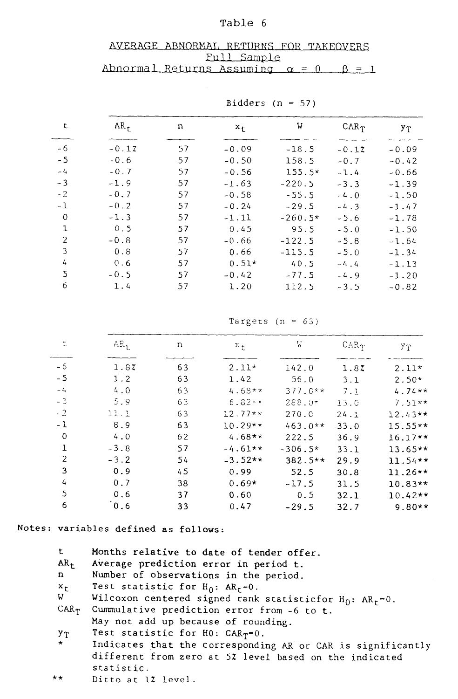| AVERAGE ABNORMAL RETURNS FOR TAKEOVERS             |             |  |
|----------------------------------------------------|-------------|--|
|                                                    | Full Sample |  |
| Abnormal Returns Assuming $\alpha = 0$ $\beta = 1$ |             |  |
|                                                    |             |  |

| t             | $AR_{+}$ | n  | $x_{t}$ | W         | $CAR_{T}$ | УΤ      |
|---------------|----------|----|---------|-----------|-----------|---------|
| - 6           | $-0.17$  | 57 | $-0.09$ | $-18.5$   | $-0.17$   | $-0.09$ |
| $-5$          | $-0.6$   | 57 | $-0.50$ | 158.5     | $-0.7$    | $-0.42$ |
| $-4$          | $-0.7$   | 57 | $-0.56$ | $155.5*$  | $-1.4$    | $-0.66$ |
| $-3$          | $-1.9$   | 57 | $-1.63$ | $-220.5$  | $-3.3$    | $-1.39$ |
| $-2$          | $-0.7$   | 57 | $-0.58$ | $-55.5$   | $-4.0$    | $-1.50$ |
| $-1$          | $-0.2$   | 57 | $-0.24$ | $-29.5$   | $-4.3$    | $-1.47$ |
| $\Omega$      | $-1.3$   | 57 | $-1.11$ | $-260.5*$ | $-5.6$    | $-1.78$ |
| 1             | 0.5      | 57 | 0.45    | 95.5      | $-5.0$    | $-1.50$ |
| $\mathcal{P}$ | $-0.8$   | 57 | $-0.66$ | $-122.5$  | $-5.8$    | $-1.64$ |
| 3             | 0.8      | 57 | 0.66    | $-115.5$  | $-5.0$    | $-1.34$ |
| 4             | 0.6      | 57 | $0.51*$ | 40.5      | $-4.4$    | $-1.13$ |
| 5             | $-0.5$   | 57 | $-0.42$ | $-77.5$   | $-4.9$    | $-1.20$ |
| 6             | 1.4      | 57 | 1.20    | 112.5     | $-3.5$    | $-0.82$ |

Bidders ( $n = 57$ )

Targets ( $n = 63$ )

| t              | $AR_t$ | n  | $x_{\pm}$ | W         | $CAR_T$ | УT        |  |
|----------------|--------|----|-----------|-----------|---------|-----------|--|
| - 6            | 1.87   | 63 | $2.11*$   | 142.0     | 1.87    | $2.11*$   |  |
| $-5$           | 1.2    | 63 | 1.42      | 56.0      | 3.1     | $2.50*$   |  |
| $-4$           | 4.0    | 63 | $4.68**$  | $377.0**$ | 7.1     | $4.74**$  |  |
| $-3$           | 5.9    | 63 | $6.82**$  | $288.0*$  | 13.0    | $7.51**$  |  |
| $-2$           | 11.1   | 63 | $12.77**$ | 270.0     | 24.1    | $12.43**$ |  |
| $-1$           | 8.9    | 63 | $10.29**$ | $463.0**$ | $-33.0$ | $15.55**$ |  |
| $\Omega$       | 4.0    | 62 | $4.68**$  | 222.5     | 36.9    | $16.17**$ |  |
| 1              | $-3.8$ | 57 | $-4.61**$ | $-306.5*$ | 33.1    | $13.65**$ |  |
| $\overline{2}$ | $-3.2$ | 54 | $-3.52**$ | $382.5**$ | 29.9    | $11.54**$ |  |
| 3              | 0.9    | 45 | 0.99      | 52.5      | 30.8    | $11.26**$ |  |
| 4              | 0.7    | 38 | $0.69*$   | $-17.5$   | 31.5    | $10.83**$ |  |
| S.             | 0.6    | 37 | 0.60      | 0.5       | 32.1    | $10.42**$ |  |
| 6              | 0.6    | 33 | 0.47      | $-29.5$   | 32.7    | $9.80**$  |  |

**Notes: variables defined as follows:** 

| t            | Months relative to date of tender offer.                        |
|--------------|-----------------------------------------------------------------|
| $AR_{+}$     | Average prediction error in period t.                           |
| $\mathbf{n}$ | Number of observations in the period.                           |
| $x_{t}$      | Test statistic for $H_0$ : $AR_t = 0$ .                         |
| $W =$        | Wilcoxon centered signed rank statisticfor $H_0$ : $AR_t = 0$ . |
| $CAR_{T}$    | Cummulative prediction error from -6 to t.                      |
|              | May not add up because of rounding.                             |
| УŢ           | Test statistic for H0: $CAR_T=0$ .                              |
| $\star^-$    | Indicates that the corresponding AR or CAR is significantly     |
|              | different from zero at 5% level based on the indicated          |
|              | statistic.                                                      |

\*\* Ditto at **1Z** level.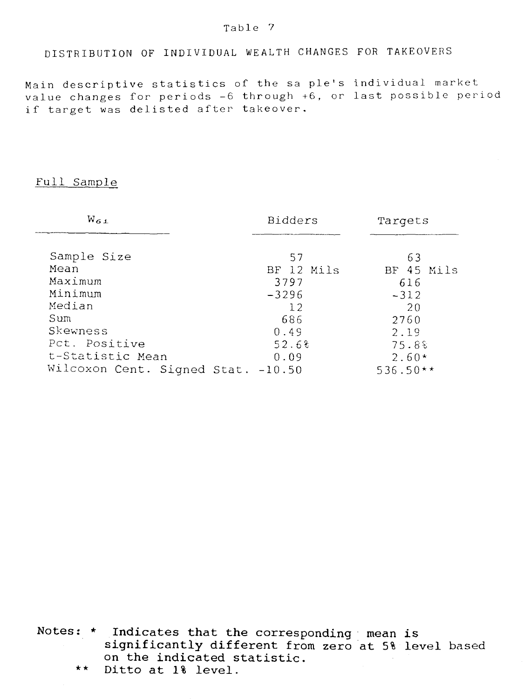# DISTRIBUTION OF INDIVIDUAL WEALTH CHANGES FOR TAKEOVERS

Main descriptive statistics of the sa ple's individuel market value changes for periods -6 through +6, or last possible period if target was delisted after takeover.

## Full Sample

| $W_{6,1}$                          | Bidders    | Targets          |  |
|------------------------------------|------------|------------------|--|
| Sample Size                        | 57         |                  |  |
| Mean                               | BF 12 Mils | 63<br>BF 45 Mils |  |
| Maximum                            | 3797       | 616              |  |
| Minimum                            | $-3296$    | $-312$           |  |
| Median                             | 12         | 20               |  |
| Sum                                | 686        | 2760             |  |
| Skewness                           | 0.49       | 2.19             |  |
| Pct. Positive                      | 52.68      | 75.8%            |  |
| t-Statistic Mean                   | 0.09       | $2.60*$          |  |
| Wilcoxon Cent. Signed Stat. -10.50 |            | $536.50**$       |  |

Notes: \* Indicates that the corresponding mean is significantly different from zero at 5% level based on the indicated statistic.

\*\* Ditto at 1% level.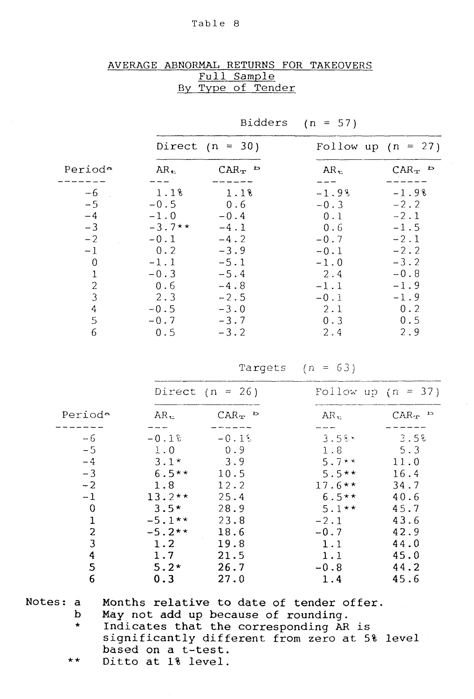# AVERAGE ABNORMAL RETURNS FOR TAKEOVERS Full Sample By Type of Tender

|                   |  | Bidders $(n = 57)$   |  |
|-------------------|--|----------------------|--|
| Direct $(n = 30)$ |  | Follow up $(n = 27)$ |  |
|                   |  |                      |  |

| Period <sup>a</sup> | $AR_{\rm \pm}$ | $CAR_{\mathbf{T}}$ b | $AR_{\pm}$ | $CAR_{\mathbf{T}}$ b |  |
|---------------------|----------------|----------------------|------------|----------------------|--|
|                     |                |                      |            |                      |  |
| $-6$                | 1.18           | 1.18                 | $-1.98$    | $-1.9%$              |  |
| $-5$                | $-0.5$         | 0.6                  | $-0.3$     | $-2.2$               |  |
| $-4$                | $-1.0$         | $-0.4$               | 0.1        | $-2.1$               |  |
| $-3$                | $-3.7**$       | $-4.1$               | 0.6        | $-1.5$               |  |
| $-2$                | $-0.1$         | $-4.2$               | $-0.7$     | $-2.1$               |  |
| $-1$                | 0.2            | $-3.9$               | $-0.1$     | $-2.2$               |  |
| 0                   | $-1.1$         | $-5.1$               | $-1.0$     | $-3.2$               |  |
| 1                   | $-0.3$         | $-5.4$               | 2.4        | $-0.8$               |  |
| $\overline{2}$      | 0.6            | $-4.8$               | $-1.1$     | $-1.9$               |  |
| 3                   | 2.3            | $-2.5$               | $-0.1$     | $-1.9$               |  |
| 4                   | $-0.5$         | $-3.0$               | 2.1        | 0.2                  |  |
| 5                   | $-0.7$         | $-3.7$               | 0.3        | 0.5                  |  |
| 6                   | 0.5            | $-3.2$               | 2.4        | 2.9                  |  |

Targets  $(n = 63)$ 

|          |              | Direct $(n = 26)$     |             | Follow up $(n = 37)$                |  |
|----------|--------------|-----------------------|-------------|-------------------------------------|--|
| Periode  | $AR_{\rm t}$ | $CAR_{\mathcal{T}}$ b | $AR_{\tau}$ | $CAR_{\mathbf{T}}$ $\triangleright$ |  |
|          |              |                       |             |                                     |  |
| $-6$     | $-0.1$       | $-0.18$               | $3.58$ *    | 3.5%                                |  |
| $-5$     | 1.0          | 0.9                   | 1.8         | 5.3                                 |  |
| $-4$     | $3.1*$       | 3.9                   | $5.7**$     | 11.0                                |  |
| $-3$     | $6.5**$      | 10.5                  | $5.5**$     | 16.4                                |  |
| $-2$     | 1.8          | 12.2                  | $17.6**$    | 34.7                                |  |
| $-1$     | $13.2**$     | 25.4                  | $6.5**$     | 40.6                                |  |
| $\Omega$ | $3.5*$       | 28.9                  | $5.1**$     | 45.7                                |  |
| 1        | $-5.1**$     | 23.8                  | $-2.1$      | 43.6                                |  |
| 2        | $-5.2**$     | 18.6                  | $-0.7$      | 42.9                                |  |
| 3        | 1.2          | 19.8                  | 1.1         | 44.0                                |  |
| 4        | 1.7          | 21.5                  | 1.1         | 45.0                                |  |
| 5        | $5.2*$       | 26.7                  | $-0.8$      | 44.2                                |  |
| 6        | 0.3          | 27.0                  | 1.4         | 45.6                                |  |

Notes: a

b

Months relative to date of tender offer. May not add up because of rounding.

- \* Indicates that the corresponding AR is significantly different from zero at 5% level based on a t-test.
- \* \* Ditto at 1% level.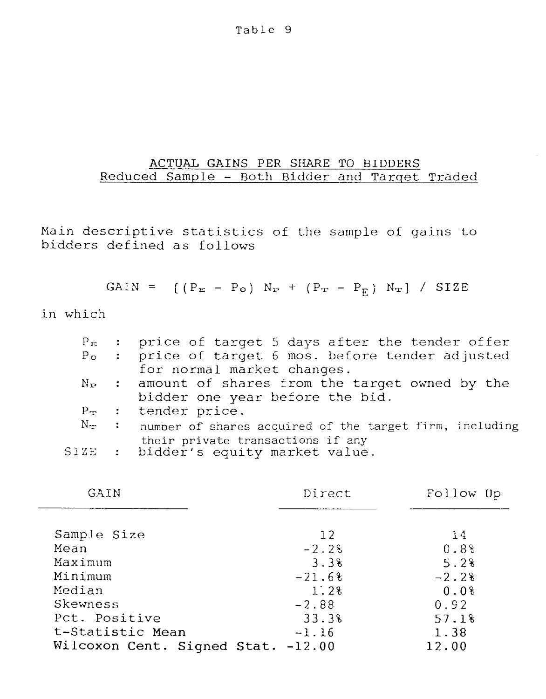# ACTUAL GAINS PER SHARE TO BIDDERS Reduced Sample - Both Bidder and Tarqet Traded

Main descriptive statistics of the sample of gains to bidders defined as foliows

GAIN =  $[(P_{E} - P_{O}) N_{P} + (P_{T} - P_{F}) N_{T}] / STZE$ 

in which

|  | $P_E$ : price of target 5 days after the tender offer                     |
|--|---------------------------------------------------------------------------|
|  | P <sub>o</sub> : price of target 6 mos. before tender adjusted            |
|  | for normal market changes.                                                |
|  | $N_P$ : amount of shares from the target owned by the                     |
|  | bidder one year before the bid.                                           |
|  | $P_{\mathbf{x}}$ : tender price.                                          |
|  | $N_T$ : number of shares acquired of the target firm, including           |
|  | their private transactions if any<br>SIZE : bidder's equity market value. |
|  |                                                                           |

| GAIN                               | Direct   | Follow Up        |
|------------------------------------|----------|------------------|
|                                    |          |                  |
| Sample Size                        | 12       | 14               |
| Mean                               | $-2.2$   | 0.8 <sup>8</sup> |
| Maximum                            | 3.3%     | 5.2%             |
| Minimum                            | $-21.68$ | $-2.2%$          |
| Median                             | 1:2%     | 0.0%             |
| Skewness                           | $-2.88$  | 0.92             |
| Pct. Positive                      | 33.3%    | 57.18            |
| t-Statistic Mean                   | $-1.16$  | 1.38             |
| Wilcoxon Cent. Signed Stat. -12.00 |          | 12.00            |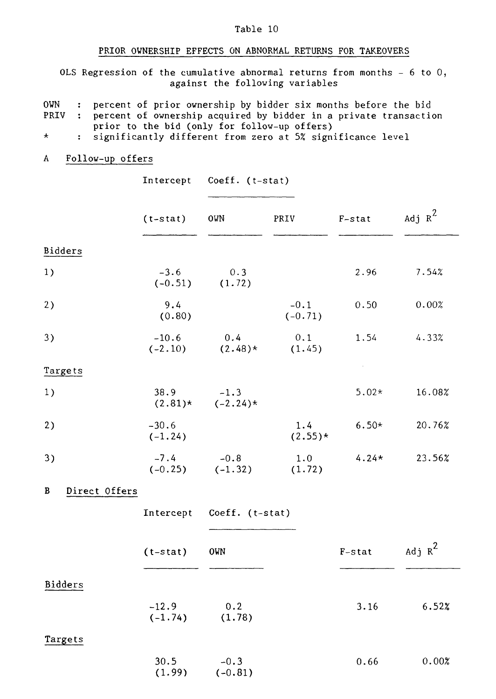#### PRIOR OWNERSHIP EFFECTS ON ABNORMAL RETURNS FOR TAKEOVERS

OLS Regression of the cumulative abnormal returns from months - 6 to 0, against the following variables

- OWN : percent of prior ownership by bidder six months before the bid<br>PRIV : percent of ownership acquired by bidder in a private transacti : percent of ownership acquired by bidder in a private transaction prior to the bid (only for follow-up offers)
- $\star$ : significantly different from zero at 5% significance level

# A Follow-up offers

|                    | Intercept            |                                | Coeff. (t-stat)     |           |           |
|--------------------|----------------------|--------------------------------|---------------------|-----------|-----------|
|                    | $(t - stat)$         | OWN                            | PRIV                | $F$ -stat | Adj $R^2$ |
| Bidders            |                      |                                |                     |           |           |
| 1)                 | $-3.6$<br>$(-0.51)$  | 0.3<br>(1.72)                  |                     | 2.96      | 7.54%     |
| 2)                 | 9.4<br>(0.80)        |                                | $-0.1$<br>$(-0.71)$ | 0.50      | 0.00%     |
| 3)                 | $-10.6$<br>$(-2.10)$ | 0.4<br>$(2.48)*$               | 0.1<br>(1.45)       | 1.54      | 4.33%     |
| Targets            |                      |                                |                     |           |           |
| 1)                 | 38.9                 | $-1.3$<br>$(2.81)*$ $(-2.24)*$ |                     | $5.02*$   | 16.08%    |
| 2)                 | $-30.6$<br>$(-1.24)$ |                                | 1.4<br>$(2.55)*$    | $6.50*$   | 20.76%    |
| 3)                 | $-7.4$               | $-0.8$<br>$(-0.25)$ $(-1.32)$  | 1.0<br>(1.72)       | $4.24*$   | 23.56%    |
| Direct Offers<br>В |                      |                                |                     |           |           |
|                    |                      | Intercept Coeff. (t-stat)      |                     |           |           |
|                    | $(t - stat)$         | <b>OWN</b>                     |                     | $F$ -stat | Adj $R^2$ |
| <b>Bidders</b>     |                      |                                |                     |           |           |
|                    | $-12.9$<br>$(-1.74)$ | 0.2<br>(1.78)                  |                     | 3.16      | 6.52%     |
| Targets            |                      |                                |                     |           |           |
|                    | 30.5<br>(1.99)       | $-0.3$<br>$(-0.81)$            |                     | 0.66      | 0.00%     |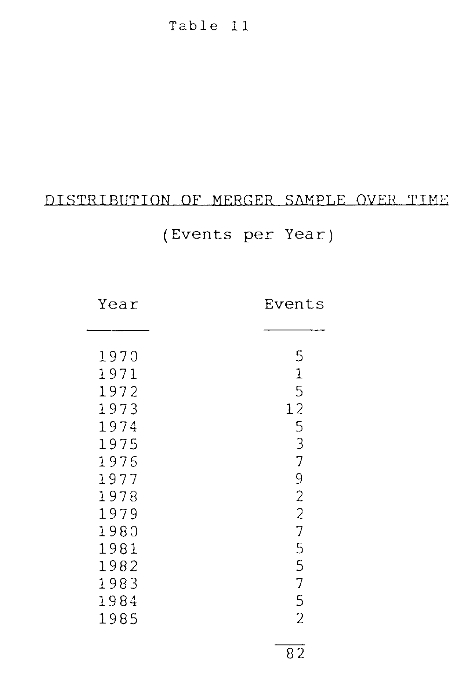## DISTRIBUTION OF MERGER SAMPLE OVER TIME

# (Events per Year)

Year Events

\_\_\_\_\_

| 1970 | 5              |
|------|----------------|
| 1971 | 1              |
| 1972 | 5              |
| 1973 | 12             |
| 1974 | 5              |
| 1975 | 3              |
| 1976 | 7              |
| 1977 | 9              |
| 1978 | $\overline{c}$ |
| 1979 | $\overline{c}$ |
| 1980 | 7              |
| 1981 | 5              |
| 1982 | 5              |
| 1983 | 7              |
| 1984 | 5              |
| 1985 | 2              |
|      |                |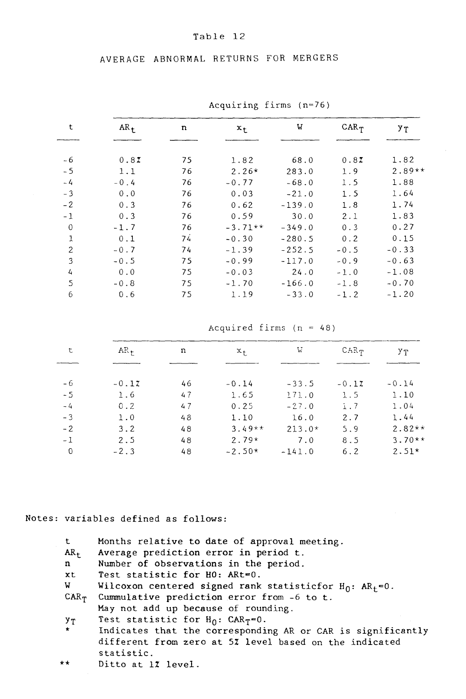AVERAGE ABNORMAL RETURNS FOR MERGERS

| $\sum$       |                 |    |           |          |           |          |
|--------------|-----------------|----|-----------|----------|-----------|----------|
| t            | $AR_{\uparrow}$ | n  | $x_{t}$   | W        | $CAR_{T}$ | УT       |
|              |                 |    |           |          |           |          |
| $-6$         | 0.87            | 75 | 1.82      | 68.0     | 0.87      | 1.82     |
| $-5$         | 1.1             | 76 | $2.26*$   | 283.0    | 1.9       | $2.89**$ |
| $-4$         | $-0.4$          | 76 | $-0.77$   | $-68.0$  | 1.5       | 1.88     |
| $-3$         | 0.0             | 76 | 0.03      | $-21.0$  | 1.5       | 1.64     |
| $-2$         | 0.3             | 76 | 0.62      | $-139.0$ | 1.8       | 1.74     |
| $-1$         | 0.3             | 76 | 0.59      | 30.0     | 2.1       | 1.83     |
| $\mathbf 0$  | $-1.7$          | 76 | $-3.71**$ | $-349.0$ | 0.3       | 0.27     |
| $\mathbf{1}$ | 0.1             | 74 | $-0.30$   | $-280.5$ | 0.2       | 0.15     |
| 2            | $-0.7$          | 74 | $-1.39$   | $-252.5$ | $-0.5$    | $-0.33$  |
| 3            | $-0.5$          | 75 | $-0.99$   | $-117.0$ | $-0.9$    | $-0.63$  |
| 4            | 0.0             | 75 | $-0.03$   | 24.0     | $-1.0$    | $-1.08$  |
| 5            | $-0.8$          | 75 | $-1.70$   | $-166.0$ | $-1.8$    | $-0.70$  |
| 6            | 0.6             | 75 | 1.19      | $-33.0$  | $-1.2$    | $-1.20$  |
|              |                 |    |           |          |           |          |

Acquiring firms (n=76)

Acquired firms  $(n = 48)$ 

| $CAR_T$         | УΤ       |
|-----------------|----------|
|                 |          |
|                 |          |
| $-0.17$         | $-0.14$  |
| 1.5             | 1.10     |
| $\ddot{1}$ . 7  | 1.04     |
| 2.7             | 1.44     |
| 5.9<br>$213.0*$ | $2.82**$ |
| 8.5             | $3.70**$ |
| 6.2             | $2.51*$  |
|                 |          |

Notes: variables defined as follows:

| t.<br>$AR_{+}$ | Months relative to date of approval meeting.<br>Average prediction error in period t. |
|----------------|---------------------------------------------------------------------------------------|
| $\mathbf{n}$   | Number of observations in the period.                                                 |
|                |                                                                                       |
| xt             | Test statistic for HO: ARt=0.                                                         |
| W.             | Wilcoxon centered signed rank statisticfor $H_0$ : $AR_f = 0$ .                       |
| $CAR_{T}$      | Cummulative prediction error from -6 to t.                                            |
|                | May not add up because of rounding.                                                   |
| УT             | Test statistic for $H_0$ : CAR <sub>T</sub> =0.                                       |
| $\mathbf{r}$   | Indicates that the corresponding AR or CAR is significantly                           |
|                | different from zero at 5% level based on the indicated                                |
|                | statistic.                                                                            |
| $***$          | Ditto at 1% level.                                                                    |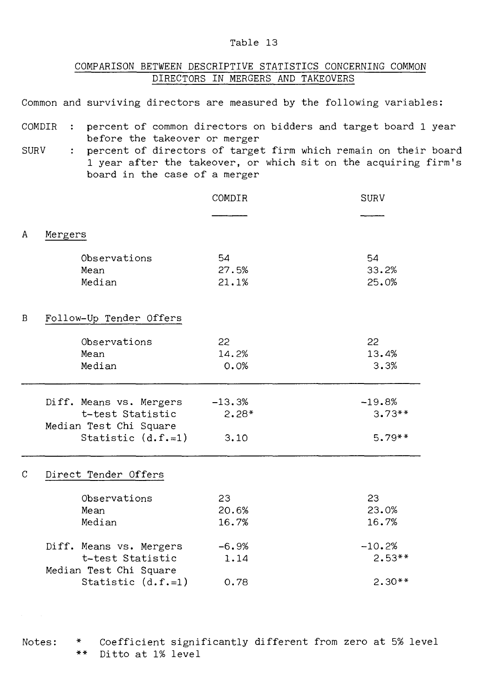## COMPARISON BETWEEN DESCRIPTIVE STATISTICS CONCERNING COMMON DIRECTORS IN MERGERS AND TAKEOVERS

Common and surviving directors are measured by the following variables:

- COMDIR : percent of common directors on bidders and target board 1 year before the takeover or merger
- SURV : percent of directors of target firm which remain on their board 1 year after the takeover, or which sit on the acquiring firm's board in the case of a merger

|   |                                                                                               | COMDIR                      | <b>SURV</b>                      |
|---|-----------------------------------------------------------------------------------------------|-----------------------------|----------------------------------|
|   |                                                                                               |                             |                                  |
| A | Mergers                                                                                       |                             |                                  |
|   | Observations<br>Mean<br>Median                                                                | 54<br>27.5%<br>21.1%        | 54<br>33.2%<br>25.0%             |
| B | Follow-Up Tender Offers                                                                       |                             |                                  |
|   | Observations<br>Mean<br>Median                                                                | 22<br>14.2%<br>0.0%         | 22<br>13.4%<br>3.3%              |
|   | Diff. Means vs. Mergers<br>t-test Statistic<br>Median Test Chi Square<br>Statistic $(d.f.=1)$ | $-13.3%$<br>$2.28*$<br>3.10 | $-19.8%$<br>$3.73**$<br>$5.79**$ |
| C | Direct Tender Offers                                                                          |                             |                                  |
|   | Observations<br>Mean<br>Median                                                                | 23<br>20.6%<br>16.7%        | 23<br>23.0%<br>16.7%             |
|   | Diff. Means vs. Mergers<br>t-test Statistic<br>Median Test Chi Square                         | $-6.9%$<br>1.14             | $-10.2%$<br>$2.53**$             |
|   | Statistic $(d.f.=1)$                                                                          | 0.78                        | $2.30**$                         |

Notes: \* Coefficient significantly different from zero at 5% level \*\* Ditto at 1% level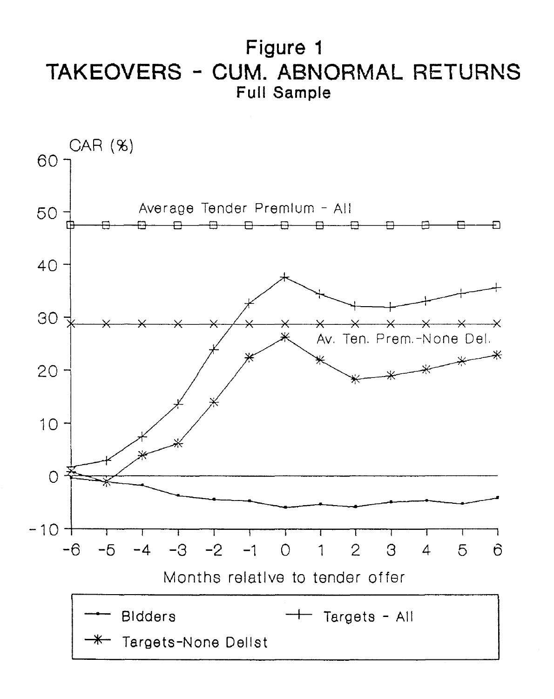**Figure 1**  TAKEOVERS - CUM. ABNORMAL RETURNS **Full Sample** 

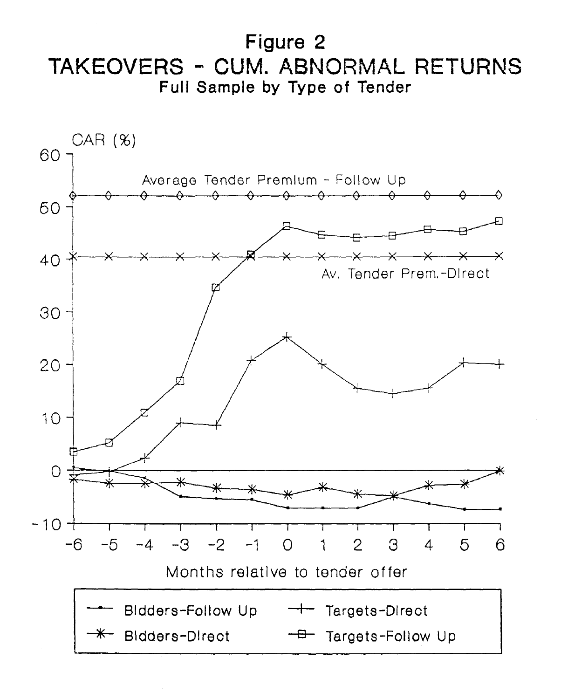**Figure 2**  TAKEOVERS - CUM. ABNORMAL RETURNS **Full Sample by Type of Tender** 

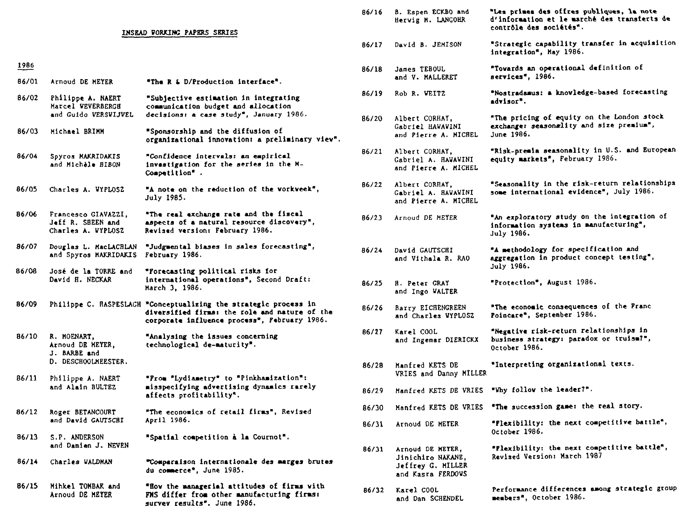|       |                                                                |                                                                                                                                                                   | 86/16 | <b>B. Espen ECKBO and</b><br>Hervig M. LANGOHR             |
|-------|----------------------------------------------------------------|-------------------------------------------------------------------------------------------------------------------------------------------------------------------|-------|------------------------------------------------------------|
|       |                                                                | <b>INSEAD VORKING PAPERS SERIES</b>                                                                                                                               |       |                                                            |
|       |                                                                |                                                                                                                                                                   | 86/17 | David B. JEMISON                                           |
| 1986  |                                                                |                                                                                                                                                                   | 86/18 | James TEBOUL                                               |
| 86/01 | Arnoud DE HEYER                                                | "The R & D/Production interface".                                                                                                                                 |       | and V. MALLERET                                            |
| 86/02 | Philippe A. NAERT<br>Marcel VEVERBERGE                         | "Subjective estimation in integrating<br>communication budget and allocation                                                                                      | 86/19 | Rob R. VEITZ                                               |
|       | and Guido VERSVIJVEL                                           | decisions: a case study", January 1986.                                                                                                                           | 86/20 | Albert CORHAY,                                             |
| 86/03 | Michael BRIMM                                                  | "Sponsorship and the diffusion of<br>organizational innovation: a preliminary view".                                                                              |       | Gabriel HAWAWINI<br>and Pierre A. MICH                     |
| 86/04 | Spyros MAKRIDAKIS<br>and Michèle BIBON                         | "Confidence intervals: an empirical<br>investigation for the series in the M-<br>Competition".                                                                    | 86/21 | Albert CORHAY,<br>Cabriel A. HAVAVIN<br>and Pierre A. MICH |
| 86/05 | Charles A. WYPLOSZ                                             | "A note on the reduction of the vorkveek",<br>July 1985.                                                                                                          | 86/22 | Albert CORHAY,<br>Gabriel A. HAWAWIN<br>and Pierre A. MICH |
| 86/06 | Francesco GIAVAZZI,<br>Jeff R. SBEEN and<br>Charles A. WYPLOSZ | "The real exchange rate and the fiscal<br>aspects of a natural resource discovery",<br><b>Revised version: February 1986.</b>                                     | 86/23 | Arnoud DE MEYER                                            |
| 86/07 | Douglas L. MacLACHLAN<br>and Spyros MAKRIDAKIS                 | "Judgmental biases in sales forecasting",<br>February 1986.                                                                                                       | 86/24 | David GAUTSCHI<br>and Vithala R. RAO                       |
| 86/08 | José de la TORRE and<br>David H. NECKAR                        | "Forecasting political risks for<br>international operations", Second Draft:<br>March 3, 1986.                                                                    | 86/25 | <b>H. Peter CRAY</b><br>and Ingo WALTER                    |
| 86/09 |                                                                | Philippe C. HASPESLAGH "Conceptualizing the strategic process in<br>diversified firms: the role and nature of the<br>corporate influence process", February 1986. | 86/26 | Barry EICHENGREEN<br>and Charles WYPLOS                    |
| 86/10 | R. MOENART,<br>Arnoud DE MEYER.<br>J. BARBE and                | "Analysing the issues concerning<br>technological de-maturity".                                                                                                   | 86/27 | Karel COOL<br>and Ingemar DIERIC                           |
|       | D. DESCHOOLMEESTER.                                            |                                                                                                                                                                   | 86/28 | Manfred KETS DE                                            |
| 86/11 | Philippe A. NAERT                                              | "From "Lydiametry" to "Pinkhamization":                                                                                                                           |       | VRIES and Danny MI                                         |
|       | and Alain BULTEZ                                               | misspecifying advertising dynamics rarely                                                                                                                         | 06/20 | Manfrod FETS OF UR                                         |

86/06

86/07

86/08

**affects profitability".**  86/12 Roger BETANCOURT and David GAUTSCHI **"The economics of retail firme",** Revised April 1986.

86/13 S.P. ANDERSON and Damien J. NEVEN **"Spatial cospetition à la Cournot".** 

- 86/14 Charles VALDMAN **'Comparaison internationale des marges brutes du commerce", June** 1985.
- 86/15 Mihkel TOMBAK **and Arnoud DE MEYER "Rov the sanagerial attitudes of fixas vith**  FMS differ from other manufacturing firms: **survey results". June 1986.**

| <b>VORKING PAPERS SERIES</b>                                                                                                               | 86/16 | B. Espen ECKBO and<br>Hervig M. LANGOHR                                         | "Les primes des offres publiques, la note<br>d'information et le marché des transferts de<br>contrôle des sociétés". |
|--------------------------------------------------------------------------------------------------------------------------------------------|-------|---------------------------------------------------------------------------------|----------------------------------------------------------------------------------------------------------------------|
|                                                                                                                                            | 86/17 | David B. JEMISON                                                                | "Strategic capability transfer in acquisition<br>integration", May 1986.                                             |
| "The R & D/Production interface".                                                                                                          | 86/18 | James TEBOUL<br>and V. MALLERET                                                 | "Towards an operational definition of<br>services", 1986.                                                            |
| "Subjective estimation in integrating<br>communication budget and allocation                                                               | 86/19 | Rob R. VEITZ                                                                    | "Nostradamus: a knowledge-based forecasting<br>advisor".                                                             |
| decisions: a case study", January 1986.<br>"Sponsorship and the diffusion of                                                               | 86/20 | Albert CORHAY,<br>Gabriel HAWAWINI<br>and Pierre A. MICHEL                      | "The pricing of equity on the London stock<br>exchange: seasonality and size premium",<br>June 1986.                 |
| organizational innovation: a preliminary view".                                                                                            |       |                                                                                 |                                                                                                                      |
| "Confidence intervals: an empirical<br>investigation for the series in the N-<br>Competition".                                             | 86/21 | Albert CORHAY,<br>Cabriel A. HAVAVINI<br>and Pierre A. MICHEL                   | "Risk-premia seasonality in U.S. and European<br>equity markets", February 1986.                                     |
| "A note on the reduction of the vorkveek",<br><b>July 1985.</b>                                                                            | 86/22 | Albert CORHAY,<br>Gabriel A. HAWAWINI<br>and Pierre A. MICHEL                   | "Seasonality in the risk-return relationships<br>some international evidence", July 1986.                            |
| "The real exchange rate and the fiscal<br>aspects of a natural resource discovery",<br><b>Revised version: February 1986.</b>              | 86/23 | Arnoud DE MEYER                                                                 | "An exploratory study on the integration of<br>information systems in manufacturing",<br>July 1986.                  |
| "Judgmental biases in sales forecasting",<br><b>February 1986.</b>                                                                         | 86/24 | David GAUTSCRI<br>and Vithala R. RAO                                            | "A methodology for specification and<br>aggregation in product concept testing",<br>July 1986.                       |
| "Forecasting political risks for<br>international operations", Second Draft:<br>March 3, 1986.                                             | 86/25 | <b>H. Peter GRAY</b><br>and Ingo WALTER                                         | "Protection", August 1986.                                                                                           |
| "Conceptualizing the strategic process in<br>diversified firms: the role and nature of the<br>corporate influence process", February 1986. | 86/26 | Barry EICHENGREEN<br>and Charles WYPLOSZ                                        | "The economic consequences of the Franc<br>Poincare", September 1986.                                                |
| "Analysing the issues concerning<br>technological de-maturity".                                                                            | 86/27 | Karel COOL<br>and Ingemar DIERICKX                                              | "Negative risk-return relationships in<br>business strategy: paradox or truism?",<br>October 1986.                   |
| "From "Lydiametry" to "Pinkhamization":                                                                                                    | 86/28 | Manfred KETS DE<br>VRIES and Danny MILLER                                       | "Interpreting organizational texts.                                                                                  |
| misspecifying advertising dynamics rarely<br>affects profitability".                                                                       | 86/29 |                                                                                 | Manfred KETS DE VRIES "Why follow the leader?".                                                                      |
| "The economics of retail firms", Revised                                                                                                   | 86/30 | Manfred KETS DE VRIES                                                           | "The succession game: the real story.                                                                                |
| April 1986.                                                                                                                                | 86/31 | Arnoud DE METER                                                                 | "Flexibility: the next competitive battle",<br>October 1986.                                                         |
| "Spatial competition à la Cournot".                                                                                                        |       |                                                                                 |                                                                                                                      |
| "Comparaison internationale des marges brutes<br>du commerce", June 1985.                                                                  | 86/31 | Arnoud DE METER,<br>Jinichiro NAKANE,<br>Jeffrey G. HILLER<br>and Kasra FERDOWS | "Plexibility: the next competitive battle",<br>Revised Version: March 1987                                           |
| "How the managerial attitudes of firms with<br>FMS differ from other manufacturing firms:                                                  | 86/32 | Karel COOL<br>and Dan SCHENDEL                                                  | Performance differences among strategic group<br>members", October 1986.                                             |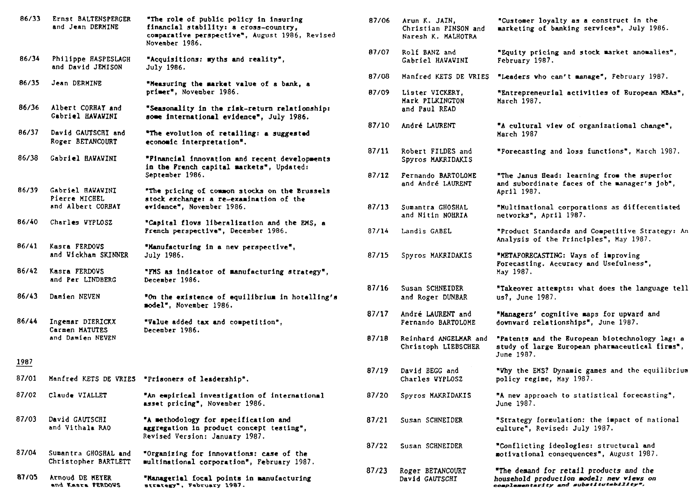| 86/33 | Ernst BALTENSPERGER<br>and Jean DERMINE                | "The role of public policy in insuring<br>financial stability: a cross-country,<br>comparative perspective", August 1986, Revised<br>November 1986. |
|-------|--------------------------------------------------------|-----------------------------------------------------------------------------------------------------------------------------------------------------|
| 86/34 | Philippe HASPESLAGH<br>and David JEMISON               | "Acquisitions: myths and reality",<br>July 1986.                                                                                                    |
| 86/35 | Jean DERMINE                                           | "Measuring the market value of a bank, a<br>primer", November 1986.                                                                                 |
| 86/36 | Albert CORHAY and<br>Gabriel HAVAVINI                  | "Seasonality in the risk-return relationship:<br>some international evidence", July 1986.                                                           |
| 86/37 | David GAUTSCHI and<br>Roger BETANCOURT                 | "The evolution of retailing: a suggested<br>economic interpretation".                                                                               |
| 86/38 | Gabriel HAWAWINI                                       | "Pinancial innovation and recent developments<br>in the French capital markets", Updated:<br>September 1986.                                        |
| 86/39 | Gabriel HAVAVINI<br>Pierre MICHEL<br>and Albert CORHAY | "The pricing of common stocks on the Brussels<br>stock exchange: a re-examination of the<br>evidence", November 1986.                               |
| 86/40 | Charles WYPLOSZ                                        | "Capital flovs liberalization and the EMS, a<br>French perspective", December 1986.                                                                 |
| 86/41 | Kasra FERDOWS<br>and Vickham SKINNER                   | "Manufacturing in a new perspective",<br>July 1986.                                                                                                 |
| 86/42 | Kasra FERDOWS<br>and Per LINDBERG                      | "PMS as indicator of manufacturing strategy",<br>December 1986.                                                                                     |
| 86/43 | Damien NEVEN                                           | "On the existence of equilibrium in hotelling's<br>model", November 1986.                                                                           |
| 86/44 | Ingemar DIERICKX<br>Carmen MATUTES<br>and Damien NEVEN | "Value added tax and competition",<br>December 1986.                                                                                                |
| 1987  |                                                        |                                                                                                                                                     |
| 87/01 |                                                        | Manfred KETS DE VRIES "Prisoners of leadership".                                                                                                    |
| 87/02 | Claude VIALLET                                         | "An empirical investigation of international<br>asset pricing", November 1986.                                                                      |
| 87/03 | David GAUTSCHI<br>and Vithala RAO                      | "A methodology for specification and<br>aggregation in product concept testing",<br>Revised Version: January 1987.                                  |
| 87/04 | Sumantra GHOSHAL and<br>Christopher BARTLETT           | "Organizing for innovations: case of the<br>multinational corporation", February 1987.                                                              |
| 87/05 | Arnoud DE MEYER<br>and Kasra PERDOVS                   | "Managerial focal points in manufacturing<br>strategy", February 1987.                                                                              |

| 87/06 | Arun K. JAIN,<br>Christian PINSON and<br>Naresh K. MALHOTRA | "Customer loyalty as a construct in the<br>marketing of banking services", July 1986.                                         |
|-------|-------------------------------------------------------------|-------------------------------------------------------------------------------------------------------------------------------|
| 87/07 | Rolf BANZ and<br>Gabriel HAWAWINI                           | "Equity pricing and stock market anomalies",<br>February 1987.                                                                |
| 87/08 | Manfred KETS DE VRIES                                       | "Leaders who can't manage", February 1987.                                                                                    |
| 87/09 | Lister VICKERY,<br>Mark PILKINGTON<br>and Paul READ         | "Entrepreneurial activities of Buropean MBAs",<br>March 1987.                                                                 |
| 87/10 | André LAURENT                                               | "A cultural view of organizational change",<br>March 1987                                                                     |
| 87/11 | Robert FILDES and<br>Spyros MAKRIDAKIS                      | "Forecasting and loss functions", March 1987.                                                                                 |
| 87/12 | Fernando BARTOLOME<br>and André LAURENT                     | "The Janus Bead: learning from the superior<br>and subordinate faces of the manager's job",<br>April 1987.                    |
| 87/13 | Sumantra GHOSHAL<br>and Nitin NOHRIA                        | "Multinational corporations as differentiated<br>netvorks", April 1987.                                                       |
| 87/14 | Landis GABEL                                                | "Product Standards and Competitive Strategy: An<br>Analysis of the Principles", May 1987.                                     |
| 87/15 | Spyros MAKRIDAKIS                                           | "METAPORECASTING: Vays of improving<br>Forecasting. Accuracy and Usefulness",<br>May 1987.                                    |
| 87/16 | Susan SCHNEIDER<br>and Roger DUNBAR                         | "Takeover attempts: what does the language tell<br>us?, June 1987.                                                            |
| 87/17 | André LAURENT and<br>Fernando BARTOLOME                     | "Managers' cognitive maps for upvard and<br>downward relationships", June 1987.                                               |
| 87/18 | Reinhard ANGELMAR and<br>Christoph LIEBSCHER                | "Patents and the European biotechnology lag: a<br>study of large European pharmaceutical firms",<br>June 1987.                |
| 87/19 | David BEGG and<br>Charles WYPLOSZ                           | "Why the EMS? Dynamic games and the equilibrium<br>policy regime, May 1987.                                                   |
| 87/20 | Spyros MAKRIDAKIS                                           | "A new approach to statistical forecasting",<br>June 1987.                                                                    |
| 87/21 | Susan SCHNEIDER                                             | "Strategy formulation: the impact of national<br>culture", Revised: July 1987.                                                |
| 87/22 | Susan SCHNEIDER                                             | "Conflicting ideologies: structural and<br>motivational consequences", August 1987.                                           |
| 87/23 | Roger BETANCOURT<br>David GAUTSCHI                          | "The demand for retail products and the<br>household production model: new views on<br>complementarity and substitutability". |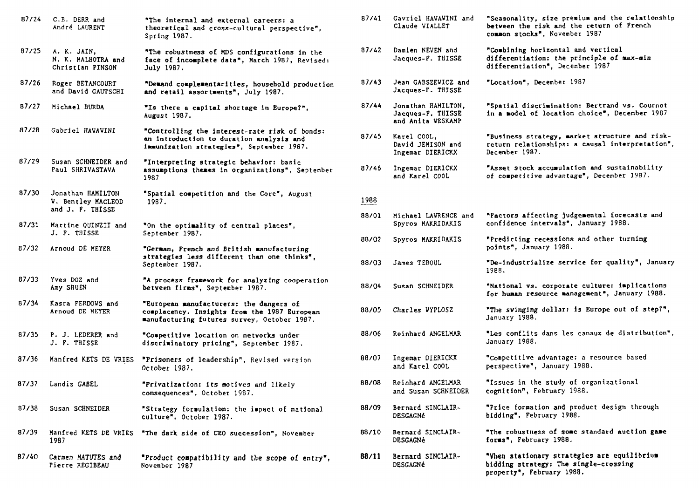| 87/24 | C.B. DERR and<br>André LAURENT                              | "The internal and external careers: a<br>theoretical and cross-cultural perspective",<br>Spring 1987.                                  | 87/41 | Gavriel HAVAVINI and<br>Claude VIALLET                       | "Seasonality, size premium and the relationship<br>between the risk and the return of French<br>common stocks", November 1987  |
|-------|-------------------------------------------------------------|----------------------------------------------------------------------------------------------------------------------------------------|-------|--------------------------------------------------------------|--------------------------------------------------------------------------------------------------------------------------------|
| 87/25 | A. K. JAIN,<br>N. K. MALHOTRA and<br>Christian PINSON       | "The robustness of MDS configurations in the<br>face of incomplete data", March 1987, Revised:<br>July 1987.                           | 87/42 | Damien NEVEN and<br>Jacques-P. THISSE                        | "Combining horizontal and vertical<br>differentiation: the principle of max-min<br>differentiation". December 1987             |
| 87/26 | Roger BETANCOURT<br>and David GAUTSCHI                      | "Demand complementarities, household production<br>and retail assortments", July 1987.                                                 | 87/43 | Jean GABSZEVICZ and<br>Jacques-F. THISSE                     | "Location", December 1987                                                                                                      |
| 87/27 | Michael BURDA                                               | "Is there a capital shortage in Europe?",<br>August 1987.                                                                              | 87/44 | Jonathan HAMILTON,<br>Jacques-P. THISSE<br>and Anita VESKAMP | "Spatial discrimination: Bertrand vs. Cournot<br>in a model of location choice", December 1987                                 |
| 87/28 | Gabriel HAVAVINI                                            | "Controlling the interest-rate risk of bonds:<br>an introduction to duration analysis and<br>immunization strategies", September 1987. | 87/45 | Karel COOL,<br>David JEMISON and<br>Ingemar DIERICKX         | "Business strategy, market structure and risk-<br>return relationships: a causal interpretation",<br>December 1987.            |
| 87/29 | Susan SCHNEIDER and<br>Paul SHRIVASTAVA                     | "Interpreting strategic behavior: basic<br>assumptions themes in organizations", September<br>1987                                     | 87/46 | Ingemar DIERICKX<br>and Karel COOL                           | "Asset stock accumulation and sustainability<br>of competitive advantage", December 1987.                                      |
| 87/30 | Jonathan HAMILTON<br>V. Bentley MACLEOD<br>and J. P. THISSE | "Spatial competition and the Core", August<br>1987.                                                                                    | 1988  |                                                              |                                                                                                                                |
| 87/31 | Martine QUINZII and                                         | "On the optimality of central places",                                                                                                 | 88/01 | Michael LAVRENCE and<br>Spyros MAKRIDAKIS                    | "Pactors affecting judgemental forecasts and<br>confidence intervals", January 1988.                                           |
|       | J. P. THISSE                                                | September 1987.                                                                                                                        | 88/02 | Spyros MAKRIDAKIS                                            | "Predicting recessions and other turning<br>points", January 1988.                                                             |
| 87/32 | Arnoud DE MEYER                                             | "German, French and British manufacturing<br>strategies less different than one thinks",<br>September 1987.                            | 88/03 | James TEBOUL                                                 | "De-industrialize service for quality", January<br>1988.                                                                       |
| 87/33 | Yves DOZ and<br>Amy SHUEN                                   | "A process framework for analyzing cooperation<br>betveen firms", September 1987.                                                      | 88/04 | Susan SCHNEIDER                                              | "National vs. corporate culture: implications<br>for human resource management", January 1988.                                 |
| 87/34 | Kasra FERDOVS and<br>Arnoud DE MEYER                        | "European manufacturers: the dangers of<br>complacency. Insights from the 1987 European<br>manufacturing futures survey, October 1987. | 88/05 | Charles WYPLOSZ                                              | "The svinging dollar: is Europe out of step?",<br>January 1988.                                                                |
| 87/35 | P. J. LEDERER and<br>J. P. THISSE                           | "Competitive location on netvorks under<br>discriminatory pricing", September 1987.                                                    | 88/06 | Reinhard ANGELMAR                                            | "Les conflits dans les canaux de distribution",<br>January 1988.                                                               |
| 87/36 | Manfred KETS DE VRIES                                       | "Prisoners of leadership", Revised version<br>October 1987.                                                                            | 88/07 | Ingemar DIERICKX<br>and Karel COOL                           | "Competitive advantage: a resource based<br>perspective", January 1988.                                                        |
| 87/37 | Landis GABEL                                                | "Privatization: its motives and likely<br>consequences", October 1987.                                                                 | 88/08 | Reinhard ANGELMAR<br>and Susan SCHNEIDER                     | "Issues in the study of organizational<br>cognition", February 1988.                                                           |
| 87/38 | Susan SCHNEIDER                                             | "Strategy formulation: the impact of national<br>culture", October 1987.                                                               | 88/09 | Bernard SINCLAIR-<br><b>DESGAGNé</b>                         | "Price formation and product design through<br>bidding", February 1988.                                                        |
| 87/39 | Manfred KETS DE VRIES<br>1987                               | "The dark side of CEO succession", November                                                                                            | 88/10 | Bernard SINCLAIR-<br><b>DESGAGNé</b>                         | "The robustness of some standard auction game<br>forms", February 1988.                                                        |
| 87/40 | Carmen MATUTES and<br>Pierre REGIBEAU                       | "Product compatibility and the scope of entry",<br>November 1987                                                                       | 88/11 | Bernard SINCLAIR-<br><b>DESGAGNé</b>                         | "When stationary strategies are equilibrium<br>bidding strategy: The single-crossing<br>property <sup>*</sup> , February 1988. |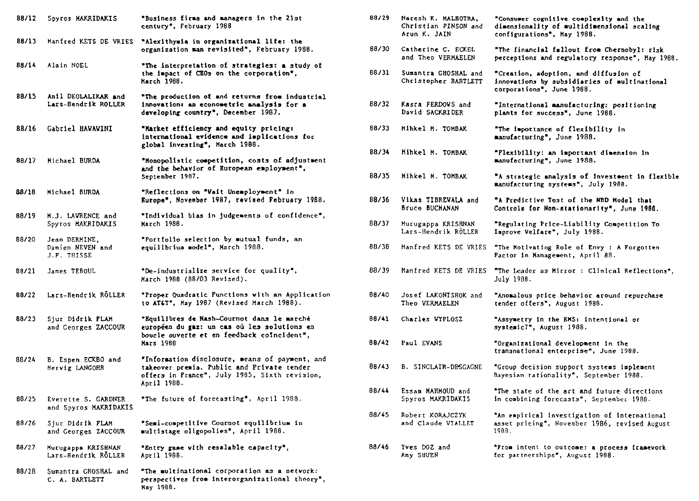| 88/12 | Spyros MAKRIDAKIS                                | "Business firms and managers in the 21st<br>century", February 1988                                                                                          |
|-------|--------------------------------------------------|--------------------------------------------------------------------------------------------------------------------------------------------------------------|
| 88/13 | Manfred KETS DE VRIES                            | "Alexithymia in organizational life: the<br>organization man revisited", February 1988.                                                                      |
| 88/14 | Alain NOEL                                       | "The interpretation of strategies: a study of<br>the impact of CEOs on the corporation",<br><b>March 1988.</b>                                               |
| 88/15 | Anil DEOLALIKAR and<br>Lars-Hendrik ROLLER       | "The production of and returns from industrial<br>innovation: an econometric analysis for a<br>developing country", December 1987.                           |
| 88/16 | Gabriel HAWAWINI                                 | "Market efficiency and equity pricing:<br>international evidence and implications for<br>global investing", March 1988.                                      |
| 88/17 | Michael BURDA                                    | "Monopolistic competition, costs of adjustment<br>and the behavior of European employment",<br>September 1987.                                               |
| 88/18 | Michael BURDA                                    | "Reflections on "Wait Unemployment" in<br>Europe", November 1987, revised February 1988.                                                                     |
| 88/19 | M.J. LAVRENCE and<br>Spyros MAKRIDAKIS           | "Individual bias in judgements of confidence",<br>March 1988.                                                                                                |
| 88/20 | Jean DERMINE.<br>Damien NEVEN and<br>J.F. THISSE | "Portfolio selection by mutual funds, an<br>equilibrium model", March 1988.                                                                                  |
| 88/21 | James TEBOUL                                     | "De-industrialize service for quality",<br>March 1988 (88/03 Revised).                                                                                       |
| 88/22 | Lars-Bendrik RÖLLER                              | "Proper Quadratic Punctions with an Application<br>to AT&T", May 1987 (Revised March 1988).                                                                  |
| 88/23 | Sjur Didrik PLAH<br>and Georges ZACCOUR          | "Equilibres de Nash-Cournot dans le marché<br>européen du gaz: un cas où les solutions en<br>boucle ouverte et en feedback coIncident",<br>Mars 1988         |
| 88/24 | B. Espen ECKBO and<br>Hervig LANGOHR             | "Information disclosure, means of payment, and<br>takeover premia. Public and Private tender<br>offers in Prance", July 1985, Sixth revision,<br>April 1988. |
| 88/25 | Everette S. GARDNER<br>and Spyros MAKRIDAKIS     | "The future of forecasting", April 1988.                                                                                                                     |
| 88/26 | Sjur Didrik FLAM<br>and Georges ZACCOUR          | "Semi-competitive Cournot equilibrium in<br>multistage oligopolies", April 1988.                                                                             |
| 88/27 | Murugappa KRISHNAN<br>Lars-Hendrik RÖLLER        | "Entry game with resalable capacity",<br>April 1988.                                                                                                         |
| 88/28 | Sumantra GROSHAL and<br>C. A. BARTLETT           | "The multinational corporation as a netvork:<br>perspectives from interorganizational theory",<br>May 1988.                                                  |

| 88/29 | Naresh K. MALHOTRA.<br>Christian PINSON and<br>Arun K. JAIN | "Consumer cognitive complexity and the<br>dimensionality of multidimensional scaling<br>configurations", May 1988. |
|-------|-------------------------------------------------------------|--------------------------------------------------------------------------------------------------------------------|
| 88/30 | Catherine C. ECKEL<br>and Theo VERMAELEN                    | "The financial fallout from Chernobyl: risk<br>perceptions and regulatory response", May 1988.                     |
| 88/31 | Sumantra GHOSHAL and<br>Christopher BARTLETT                | "Creation, adoption, and diffusion of<br>innovations by subsidiaries of multinational<br>corporations", June 1988. |
| 88/32 | Kasra FERDOWS and<br>David SACKRIDER                        | "International manufacturing: positioning<br>plants for success*, June 1988.                                       |
| 88/33 | Mihkel M. TOMBAK                                            | "The importance of flexibility in<br>manufacturing", June 1988.                                                    |
| 88/34 | Mihkel M. TOMBAK                                            | "Plexibility: an important dimension in<br>manufacturing", June 1988.                                              |
| 88/35 | Minkel M. TOMBAK                                            | "A strategic analysis of investment in flexible<br>manufacturing systems", July 1988.                              |
| 88/36 | Vikas TIBREVALA and<br><b>Bruce BUCHANAN</b>                | "A Predictive Test of the NBD Model that<br>Controls for Non-stationarity", June 1988.                             |
| 88/37 | Murugappa KRISHNAN<br>Lars-Hendrik RÖLLER                   | "Regulating Price-Liability Competition To<br>Improve Velfare", July 1988.                                         |
| 88/38 | Manfred KETS DE VRIES                                       | "The Motivating Role of Envy : A Forgotten<br>Factor in Management, April 88.                                      |
| 88/39 | Manfred KETS DE VRIES                                       | "The Leader as Mirror: Clinical Reflections",<br>July 1988.                                                        |
| 88/40 | Josef LAKONISHOK and<br>Theo VERMAELEN                      | "Anomalous price behavior around repurchase<br>tender offers", August 1988.                                        |
| 88/41 | Charles VYPLOSZ                                             | "Assymetry in the EMS: intentional or<br>systemic?", August 1988.                                                  |
| 88/42 | Paul EVANS                                                  | "Organizational development in the<br>transnational enterprise", June 1988.                                        |
| 88/43 | B. SINCLAIR-DESGAGNE                                        | "Group decision support systems implement<br>Bayesian rationality", September 1988.                                |
| 88/44 | Essam MAHMOUD and<br>Spyros MAKRIDAKIS                      | "The state of the art and future directions<br>in combining forecasts", September 1988.                            |
| 88/45 | Robert KORAJCZYK<br>and Claude VIALLET                      | "An empirical investigation of international<br>asset pricing", November 1986, revised August<br>1988.             |
| 88/46 | Yves DOZ and<br>Amy SHUEN                                   | "Prom intent to outcome: a process framework<br>for partnerships", August 1988.                                    |